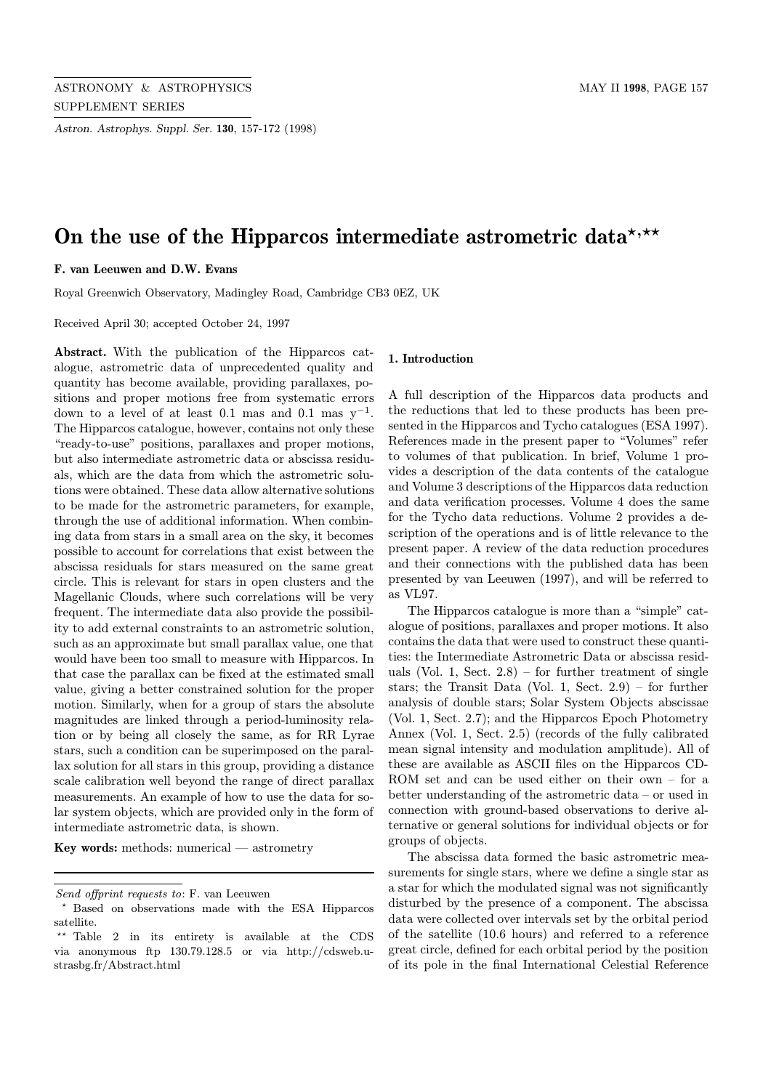Astron. Astrophys. Suppl. Ser. 130, 157-172 (1998)

# On the use of the Hipparcos intermediate astrometric data\*,\*\*

F. van Leeuwen and D.W. Evans

Royal Greenwich Observatory, Madingley Road, Cambridge CB3 0EZ, UK

Received April 30; accepted October 24, 1997

Abstract. With the publication of the Hipparcos catalogue, astrometric data of unprecedented quality and quantity has become available, providing parallaxes, positions and proper motions free from systematic errors down to a level of at least 0.1 mas and 0.1 mas  $y^{-1}$ . The Hipparcos catalogue, however, contains not only these "ready-to-use" positions, parallaxes and proper motions, but also intermediate astrometric data or abscissa residuals, which are the data from which the astrometric solutions were obtained. These data allow alternative solutions to be made for the astrometric parameters, for example, through the use of additional information. When combining data from stars in a small area on the sky, it becomes possible to account for correlations that exist between the abscissa residuals for stars measured on the same great circle. This is relevant for stars in open clusters and the Magellanic Clouds, where such correlations will be very frequent. The intermediate data also provide the possibility to add external constraints to an astrometric solution, such as an approximate but small parallax value, one that would have been too small to measure with Hipparcos. In that case the parallax can be fixed at the estimated small value, giving a better constrained solution for the proper motion. Similarly, when for a group of stars the absolute magnitudes are linked through a period-luminosity relation or by being all closely the same, as for RR Lyrae stars, such a condition can be superimposed on the parallax solution for all stars in this group, providing a distance scale calibration well beyond the range of direct parallax measurements. An example of how to use the data for solar system objects, which are provided only in the form of intermediate astrometric data, is shown.

Key words: methods: numerical  $-$  astrometry

#### 1. Introduction

A full description of the Hipparcos data products and the reductions that led to these products has been presented in the Hipparcos and Tycho catalogues (ESA 1997). References made in the present paper to "Volumes" refer to volumes of that publication. In brief, Volume 1 provides a description of the data contents of the catalogue and Volume 3 descriptions of the Hipparcos data reduction and data verification processes. Volume 4 does the same for the Tycho data reductions. Volume 2 provides a description of the operations and is of little relevance to the present paper. A review of the data reduction procedures and their connections with the published data has been presented by van Leeuwen (1997), and will be referred to as VL97.

The Hipparcos catalogue is more than a "simple" catalogue of positions, parallaxes and proper motions. It also contains the data that were used to construct these quantities: the Intermediate Astrometric Data or abscissa residuals (Vol. 1, Sect.  $2.8$ ) – for further treatment of single stars; the Transit Data (Vol. 1, Sect. 2.9) – for further analysis of double stars; Solar System Objects abscissae (Vol. 1, Sect. 2.7); and the Hipparcos Epoch Photometry Annex (Vol. 1, Sect. 2.5) (records of the fully calibrated mean signal intensity and modulation amplitude). All of these are available as ASCII files on the Hipparcos CD-ROM set and can be used either on their own – for a better understanding of the astrometric data – or used in connection with ground-based observations to derive alternative or general solutions for individual objects or for groups of objects.

The abscissa data formed the basic astrometric measurements for single stars, where we define a single star as a star for which the modulated signal was not significantly disturbed by the presence of a component. The abscissa data were collected over intervals set by the orbital period of the satellite (10.6 hours) and referred to a reference great circle, defined for each orbital period by the position of its pole in the final International Celestial Reference

Send offprint requests to: F. van Leeuwen

<sup>?</sup> Based on observations made with the ESA Hipparcos satellite.

<sup>\*\*</sup> Table 2 in its entirety is available at the CDS via anonymous ftp 130.79.128.5 or via http://cdsweb.ustrasbg.fr/Abstract.html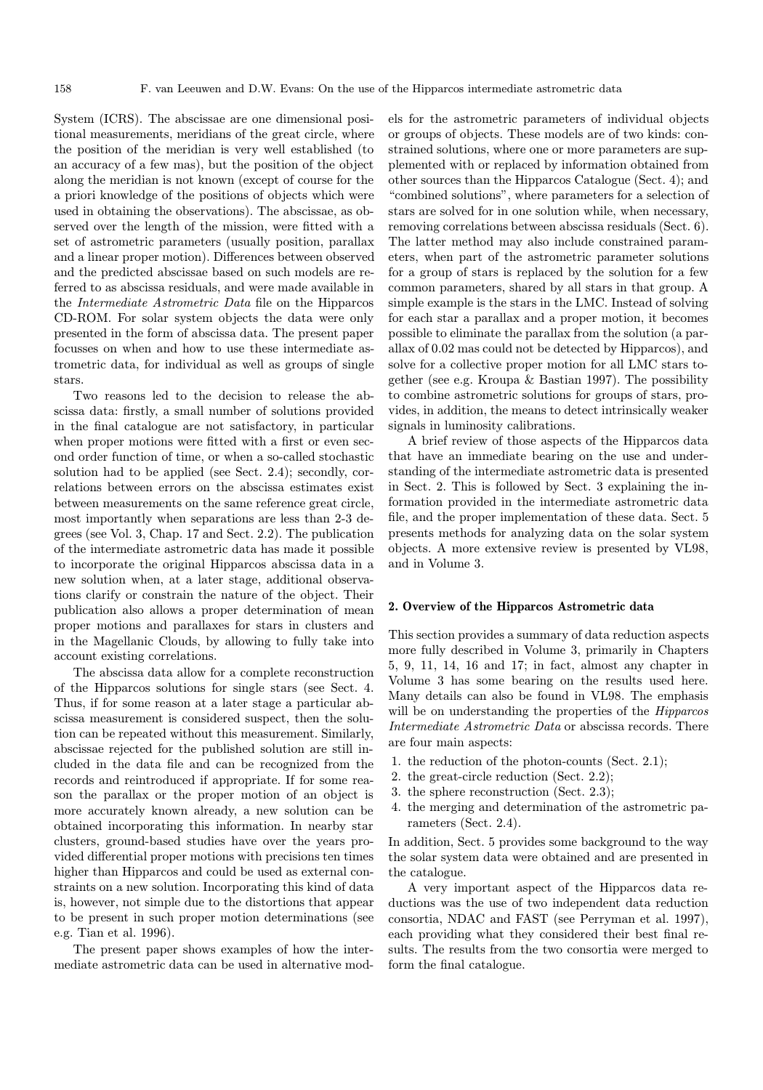System (ICRS). The abscissae are one dimensional positional measurements, meridians of the great circle, where the position of the meridian is very well established (to an accuracy of a few mas), but the position of the object along the meridian is not known (except of course for the a priori knowledge of the positions of objects which were used in obtaining the observations). The abscissae, as observed over the length of the mission, were fitted with a set of astrometric parameters (usually position, parallax and a linear proper motion). Differences between observed and the predicted abscissae based on such models are referred to as abscissa residuals, and were made available in the Intermediate Astrometric Data file on the Hipparcos CD-ROM. For solar system objects the data were only presented in the form of abscissa data. The present paper focusses on when and how to use these intermediate astrometric data, for individual as well as groups of single stars.

Two reasons led to the decision to release the abscissa data: firstly, a small number of solutions provided in the final catalogue are not satisfactory, in particular when proper motions were fitted with a first or even second order function of time, or when a so-called stochastic solution had to be applied (see Sect. 2.4); secondly, correlations between errors on the abscissa estimates exist between measurements on the same reference great circle, most importantly when separations are less than 2-3 degrees (see Vol. 3, Chap. 17 and Sect. 2.2). The publication of the intermediate astrometric data has made it possible to incorporate the original Hipparcos abscissa data in a new solution when, at a later stage, additional observations clarify or constrain the nature of the object. Their publication also allows a proper determination of mean proper motions and parallaxes for stars in clusters and in the Magellanic Clouds, by allowing to fully take into account existing correlations.

The abscissa data allow for a complete reconstruction of the Hipparcos solutions for single stars (see Sect. 4. Thus, if for some reason at a later stage a particular abscissa measurement is considered suspect, then the solution can be repeated without this measurement. Similarly, abscissae rejected for the published solution are still included in the data file and can be recognized from the records and reintroduced if appropriate. If for some reason the parallax or the proper motion of an object is more accurately known already, a new solution can be obtained incorporating this information. In nearby star clusters, ground-based studies have over the years provided differential proper motions with precisions ten times higher than Hipparcos and could be used as external constraints on a new solution. Incorporating this kind of data is, however, not simple due to the distortions that appear to be present in such proper motion determinations (see e.g. Tian et al. 1996).

The present paper shows examples of how the intermediate astrometric data can be used in alternative mod-

els for the astrometric parameters of individual objects or groups of objects. These models are of two kinds: constrained solutions, where one or more parameters are supplemented with or replaced by information obtained from other sources than the Hipparcos Catalogue (Sect. 4); and "combined solutions", where parameters for a selection of stars are solved for in one solution while, when necessary, removing correlations between abscissa residuals (Sect. 6). The latter method may also include constrained parameters, when part of the astrometric parameter solutions for a group of stars is replaced by the solution for a few common parameters, shared by all stars in that group. A simple example is the stars in the LMC. Instead of solving for each star a parallax and a proper motion, it becomes possible to eliminate the parallax from the solution (a parallax of 0.02 mas could not be detected by Hipparcos), and solve for a collective proper motion for all LMC stars together (see e.g. Kroupa & Bastian 1997). The possibility to combine astrometric solutions for groups of stars, provides, in addition, the means to detect intrinsically weaker signals in luminosity calibrations.

A brief review of those aspects of the Hipparcos data that have an immediate bearing on the use and understanding of the intermediate astrometric data is presented in Sect. 2. This is followed by Sect. 3 explaining the information provided in the intermediate astrometric data file, and the proper implementation of these data. Sect. 5 presents methods for analyzing data on the solar system objects. A more extensive review is presented by VL98, and in Volume 3.

## 2. Overview of the Hipparcos Astrometric data

This section provides a summary of data reduction aspects more fully described in Volume 3, primarily in Chapters 5, 9, 11, 14, 16 and 17; in fact, almost any chapter in Volume 3 has some bearing on the results used here. Many details can also be found in VL98. The emphasis will be on understanding the properties of the *Hipparcos* Intermediate Astrometric Data or abscissa records. There are four main aspects:

- 1. the reduction of the photon-counts (Sect. 2.1);
- 2. the great-circle reduction (Sect. 2.2);
- 3. the sphere reconstruction (Sect. 2.3);
- 4. the merging and determination of the astrometric parameters (Sect. 2.4).

In addition, Sect. 5 provides some background to the way the solar system data were obtained and are presented in the catalogue.

A very important aspect of the Hipparcos data reductions was the use of two independent data reduction consortia, NDAC and FAST (see Perryman et al. 1997), each providing what they considered their best final results. The results from the two consortia were merged to form the final catalogue.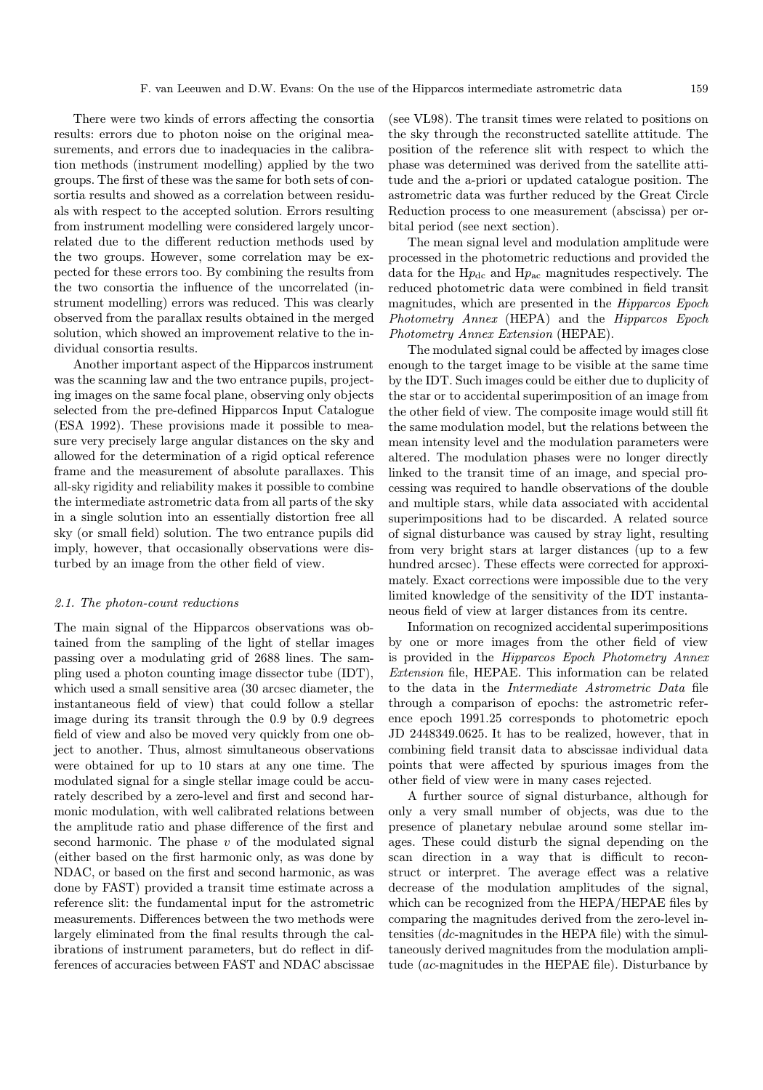There were two kinds of errors affecting the consortia results: errors due to photon noise on the original measurements, and errors due to inadequacies in the calibration methods (instrument modelling) applied by the two groups. The first of these was the same for both sets of consortia results and showed as a correlation between residuals with respect to the accepted solution. Errors resulting from instrument modelling were considered largely uncorrelated due to the different reduction methods used by the two groups. However, some correlation may be expected for these errors too. By combining the results from the two consortia the influence of the uncorrelated (instrument modelling) errors was reduced. This was clearly observed from the parallax results obtained in the merged solution, which showed an improvement relative to the individual consortia results.

Another important aspect of the Hipparcos instrument was the scanning law and the two entrance pupils, projecting images on the same focal plane, observing only objects selected from the pre-defined Hipparcos Input Catalogue (ESA 1992). These provisions made it possible to measure very precisely large angular distances on the sky and allowed for the determination of a rigid optical reference frame and the measurement of absolute parallaxes. This all-sky rigidity and reliability makes it possible to combine the intermediate astrometric data from all parts of the sky in a single solution into an essentially distortion free all sky (or small field) solution. The two entrance pupils did imply, however, that occasionally observations were disturbed by an image from the other field of view.

#### 2.1. The photon-count reductions

The main signal of the Hipparcos observations was obtained from the sampling of the light of stellar images passing over a modulating grid of 2688 lines. The sampling used a photon counting image dissector tube (IDT), which used a small sensitive area (30 arcsec diameter, the instantaneous field of view) that could follow a stellar image during its transit through the 0.9 by 0.9 degrees field of view and also be moved very quickly from one object to another. Thus, almost simultaneous observations were obtained for up to 10 stars at any one time. The modulated signal for a single stellar image could be accurately described by a zero-level and first and second harmonic modulation, with well calibrated relations between the amplitude ratio and phase difference of the first and second harmonic. The phase  $v$  of the modulated signal (either based on the first harmonic only, as was done by NDAC, or based on the first and second harmonic, as was done by FAST) provided a transit time estimate across a reference slit: the fundamental input for the astrometric measurements. Differences between the two methods were largely eliminated from the final results through the calibrations of instrument parameters, but do reflect in differences of accuracies between FAST and NDAC abscissae (see VL98). The transit times were related to positions on the sky through the reconstructed satellite attitude. The position of the reference slit with respect to which the phase was determined was derived from the satellite attitude and the a-priori or updated catalogue position. The astrometric data was further reduced by the Great Circle Reduction process to one measurement (abscissa) per orbital period (see next section).

The mean signal level and modulation amplitude were processed in the photometric reductions and provided the data for the  $Hp_{dc}$  and  $Hp_{ac}$  magnitudes respectively. The reduced photometric data were combined in field transit magnitudes, which are presented in the Hipparcos Epoch Photometry Annex (HEPA) and the Hipparcos Epoch Photometry Annex Extension (HEPAE).

The modulated signal could be affected by images close enough to the target image to be visible at the same time by the IDT. Such images could be either due to duplicity of the star or to accidental superimposition of an image from the other field of view. The composite image would still fit the same modulation model, but the relations between the mean intensity level and the modulation parameters were altered. The modulation phases were no longer directly linked to the transit time of an image, and special processing was required to handle observations of the double and multiple stars, while data associated with accidental superimpositions had to be discarded. A related source of signal disturbance was caused by stray light, resulting from very bright stars at larger distances (up to a few hundred arcsec). These effects were corrected for approximately. Exact corrections were impossible due to the very limited knowledge of the sensitivity of the IDT instantaneous field of view at larger distances from its centre.

Information on recognized accidental superimpositions by one or more images from the other field of view is provided in the Hipparcos Epoch Photometry Annex Extension file, HEPAE. This information can be related to the data in the Intermediate Astrometric Data file through a comparison of epochs: the astrometric reference epoch 1991.25 corresponds to photometric epoch JD 2448349.0625. It has to be realized, however, that in combining field transit data to abscissae individual data points that were affected by spurious images from the other field of view were in many cases rejected.

A further source of signal disturbance, although for only a very small number of objects, was due to the presence of planetary nebulae around some stellar images. These could disturb the signal depending on the scan direction in a way that is difficult to reconstruct or interpret. The average effect was a relative decrease of the modulation amplitudes of the signal, which can be recognized from the HEPA/HEPAE files by comparing the magnitudes derived from the zero-level intensities  $(dc$ -magnitudes in the HEPA file) with the simultaneously derived magnitudes from the modulation amplitude (ac-magnitudes in the HEPAE file). Disturbance by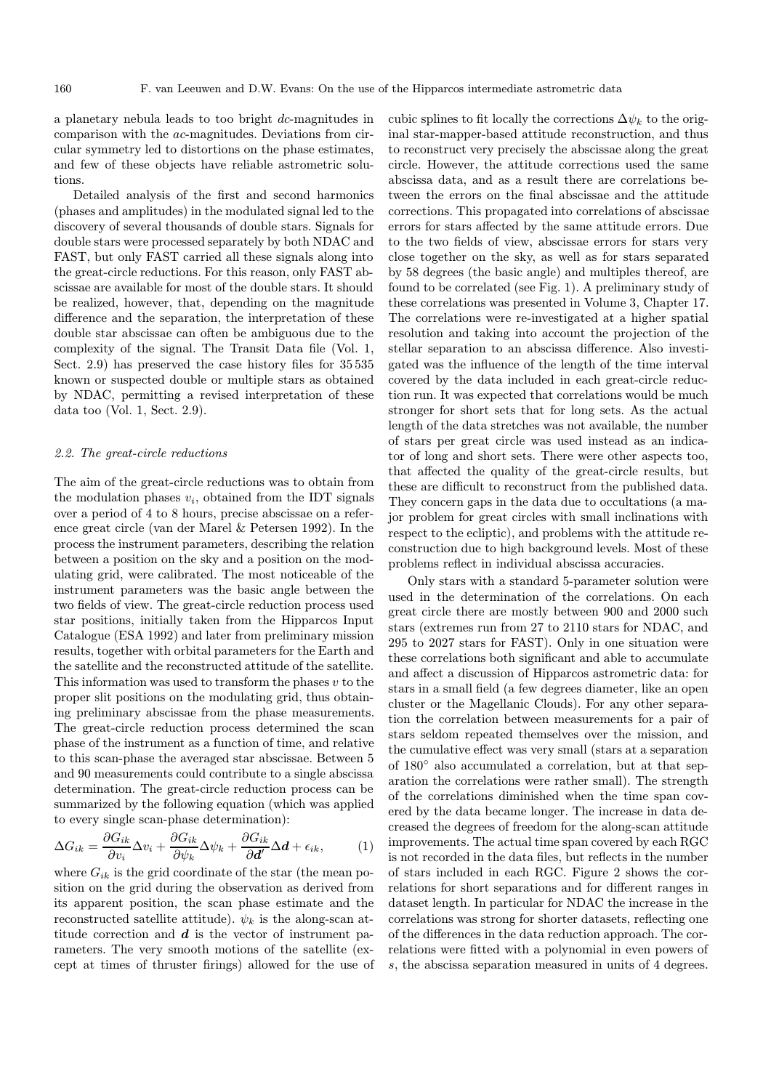a planetary nebula leads to too bright dc-magnitudes in comparison with the ac-magnitudes. Deviations from circular symmetry led to distortions on the phase estimates, and few of these objects have reliable astrometric solutions.

Detailed analysis of the first and second harmonics (phases and amplitudes) in the modulated signal led to the discovery of several thousands of double stars. Signals for double stars were processed separately by both NDAC and FAST, but only FAST carried all these signals along into the great-circle reductions. For this reason, only FAST abscissae are available for most of the double stars. It should be realized, however, that, depending on the magnitude difference and the separation, the interpretation of these double star abscissae can often be ambiguous due to the complexity of the signal. The Transit Data file (Vol. 1, Sect. 2.9) has preserved the case history files for 35 535 known or suspected double or multiple stars as obtained by NDAC, permitting a revised interpretation of these data too (Vol. 1, Sect. 2.9).

## 2.2. The great-circle reductions

The aim of the great-circle reductions was to obtain from the modulation phases  $v_i$ , obtained from the IDT signals over a period of 4 to 8 hours, precise abscissae on a reference great circle (van der Marel & Petersen 1992). In the process the instrument parameters, describing the relation between a position on the sky and a position on the modulating grid, were calibrated. The most noticeable of the instrument parameters was the basic angle between the two fields of view. The great-circle reduction process used star positions, initially taken from the Hipparcos Input Catalogue (ESA 1992) and later from preliminary mission results, together with orbital parameters for the Earth and the satellite and the reconstructed attitude of the satellite. This information was used to transform the phases  $v$  to the proper slit positions on the modulating grid, thus obtaining preliminary abscissae from the phase measurements. The great-circle reduction process determined the scan phase of the instrument as a function of time, and relative to this scan-phase the averaged star abscissae. Between 5 and 90 measurements could contribute to a single abscissa determination. The great-circle reduction process can be summarized by the following equation (which was applied to every single scan-phase determination):

$$
\Delta G_{ik} = \frac{\partial G_{ik}}{\partial v_i} \Delta v_i + \frac{\partial G_{ik}}{\partial \psi_k} \Delta \psi_k + \frac{\partial G_{ik}}{\partial d'} \Delta d + \epsilon_{ik},\tag{1}
$$

where  $G_{ik}$  is the grid coordinate of the star (the mean position on the grid during the observation as derived from its apparent position, the scan phase estimate and the reconstructed satellite attitude).  $\psi_k$  is the along-scan attitude correction and  $d$  is the vector of instrument parameters. The very smooth motions of the satellite (except at times of thruster firings) allowed for the use of cubic splines to fit locally the corrections  $\Delta \psi_k$  to the original star-mapper-based attitude reconstruction, and thus to reconstruct very precisely the abscissae along the great circle. However, the attitude corrections used the same abscissa data, and as a result there are correlations between the errors on the final abscissae and the attitude corrections. This propagated into correlations of abscissae errors for stars affected by the same attitude errors. Due to the two fields of view, abscissae errors for stars very close together on the sky, as well as for stars separated by 58 degrees (the basic angle) and multiples thereof, are found to be correlated (see Fig. 1). A preliminary study of these correlations was presented in Volume 3, Chapter 17. The correlations were re-investigated at a higher spatial resolution and taking into account the projection of the stellar separation to an abscissa difference. Also investigated was the influence of the length of the time interval covered by the data included in each great-circle reduction run. It was expected that correlations would be much stronger for short sets that for long sets. As the actual length of the data stretches was not available, the number of stars per great circle was used instead as an indicator of long and short sets. There were other aspects too, that affected the quality of the great-circle results, but these are difficult to reconstruct from the published data. They concern gaps in the data due to occultations (a major problem for great circles with small inclinations with respect to the ecliptic), and problems with the attitude reconstruction due to high background levels. Most of these problems reflect in individual abscissa accuracies.

Only stars with a standard 5-parameter solution were used in the determination of the correlations. On each great circle there are mostly between 900 and 2000 such stars (extremes run from 27 to 2110 stars for NDAC, and 295 to 2027 stars for FAST). Only in one situation were these correlations both significant and able to accumulate and affect a discussion of Hipparcos astrometric data: for stars in a small field (a few degrees diameter, like an open cluster or the Magellanic Clouds). For any other separation the correlation between measurements for a pair of stars seldom repeated themselves over the mission, and the cumulative effect was very small (stars at a separation of 180◦ also accumulated a correlation, but at that separation the correlations were rather small). The strength of the correlations diminished when the time span covered by the data became longer. The increase in data decreased the degrees of freedom for the along-scan attitude improvements. The actual time span covered by each RGC is not recorded in the data files, but reflects in the number of stars included in each RGC. Figure 2 shows the correlations for short separations and for different ranges in dataset length. In particular for NDAC the increase in the correlations was strong for shorter datasets, reflecting one of the differences in the data reduction approach. The correlations were fitted with a polynomial in even powers of s, the abscissa separation measured in units of 4 degrees.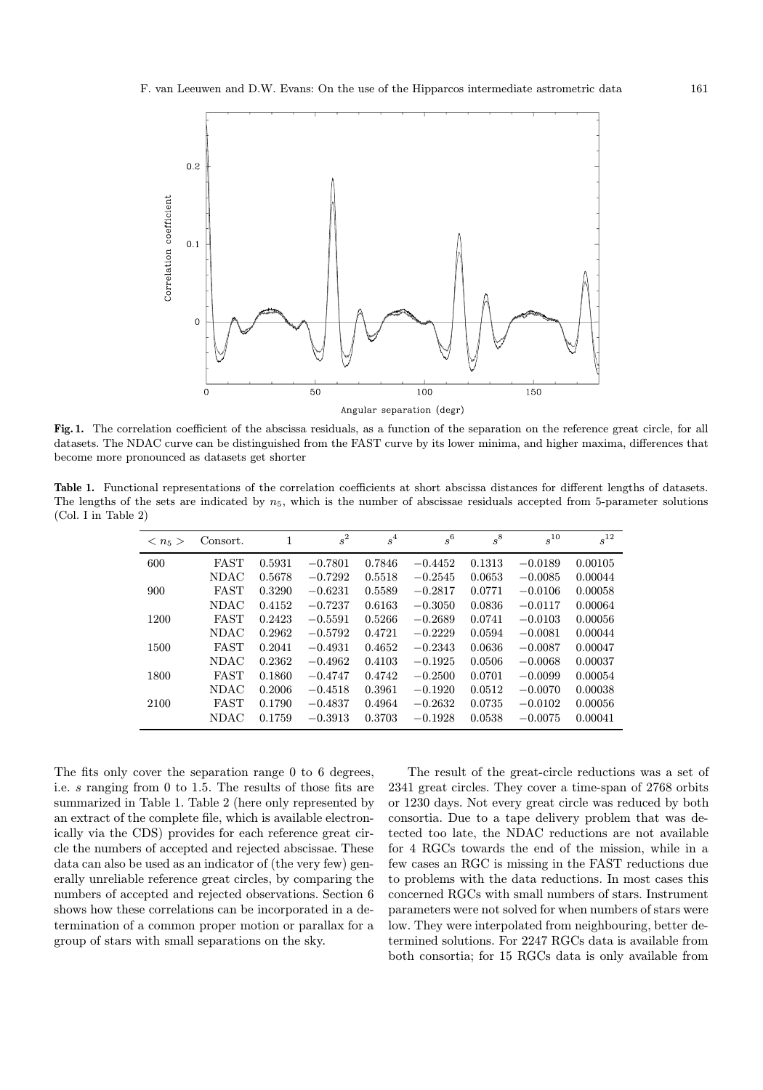

Fig. 1. The correlation coefficient of the abscissa residuals, as a function of the separation on the reference great circle, for all datasets. The NDAC curve can be distinguished from the FAST curve by its lower minima, and higher maxima, differences that become more pronounced as datasets get shorter

Table 1. Functional representations of the correlation coefficients at short abscissa distances for different lengths of datasets. The lengths of the sets are indicated by  $n_5$ , which is the number of abscissae residuals accepted from 5-parameter solutions (Col. I in Table 2)

| $\langle n_5 \rangle$ | Consort.    | 1      | $s^2$     | $\,s^4$ | $s^6$     | $s^8\,$ | $s^{10}$  | $s^{12}$ |
|-----------------------|-------------|--------|-----------|---------|-----------|---------|-----------|----------|
| 600                   | <b>FAST</b> | 0.5931 | $-0.7801$ | 0.7846  | $-0.4452$ | 0.1313  | $-0.0189$ | 0.00105  |
|                       | <b>NDAC</b> | 0.5678 | $-0.7292$ | 0.5518  | $-0.2545$ | 0.0653  | $-0.0085$ | 0.00044  |
| 900                   | FAST        | 0.3290 | $-0.6231$ | 0.5589  | $-0.2817$ | 0.0771  | $-0.0106$ | 0.00058  |
|                       | <b>NDAC</b> | 0.4152 | $-0.7237$ | 0.6163  | $-0.3050$ | 0.0836  | $-0.0117$ | 0.00064  |
| 1200                  | FAST        | 0.2423 | $-0.5591$ | 0.5266  | $-0.2689$ | 0.0741  | $-0.0103$ | 0.00056  |
|                       | <b>NDAC</b> | 0.2962 | $-0.5792$ | 0.4721  | $-0.2229$ | 0.0594  | $-0.0081$ | 0.00044  |
| 1500                  | <b>FAST</b> | 0.2041 | $-0.4931$ | 0.4652  | $-0.2343$ | 0.0636  | $-0.0087$ | 0.00047  |
|                       | <b>NDAC</b> | 0.2362 | $-0.4962$ | 0.4103  | $-0.1925$ | 0.0506  | $-0.0068$ | 0.00037  |
| 1800                  | <b>FAST</b> | 0.1860 | $-0.4747$ | 0.4742  | $-0.2500$ | 0.0701  | $-0.0099$ | 0.00054  |
|                       | <b>NDAC</b> | 0.2006 | $-0.4518$ | 0.3961  | $-0.1920$ | 0.0512  | $-0.0070$ | 0.00038  |
| 2100                  | <b>FAST</b> | 0.1790 | $-0.4837$ | 0.4964  | $-0.2632$ | 0.0735  | $-0.0102$ | 0.00056  |
|                       | <b>NDAC</b> | 0.1759 | $-0.3913$ | 0.3703  | $-0.1928$ | 0.0538  | $-0.0075$ | 0.00041  |

The fits only cover the separation range 0 to 6 degrees, i.e. s ranging from 0 to 1.5. The results of those fits are summarized in Table 1. Table 2 (here only represented by an extract of the complete file, which is available electronically via the CDS) provides for each reference great circle the numbers of accepted and rejected abscissae. These data can also be used as an indicator of (the very few) generally unreliable reference great circles, by comparing the numbers of accepted and rejected observations. Section 6 shows how these correlations can be incorporated in a determination of a common proper motion or parallax for a group of stars with small separations on the sky.

The result of the great-circle reductions was a set of 2341 great circles. They cover a time-span of 2768 orbits or 1230 days. Not every great circle was reduced by both consortia. Due to a tape delivery problem that was detected too late, the NDAC reductions are not available for 4 RGCs towards the end of the mission, while in a few cases an RGC is missing in the FAST reductions due to problems with the data reductions. In most cases this concerned RGCs with small numbers of stars. Instrument parameters were not solved for when numbers of stars were low. They were interpolated from neighbouring, better determined solutions. For 2247 RGCs data is available from both consortia; for 15 RGCs data is only available from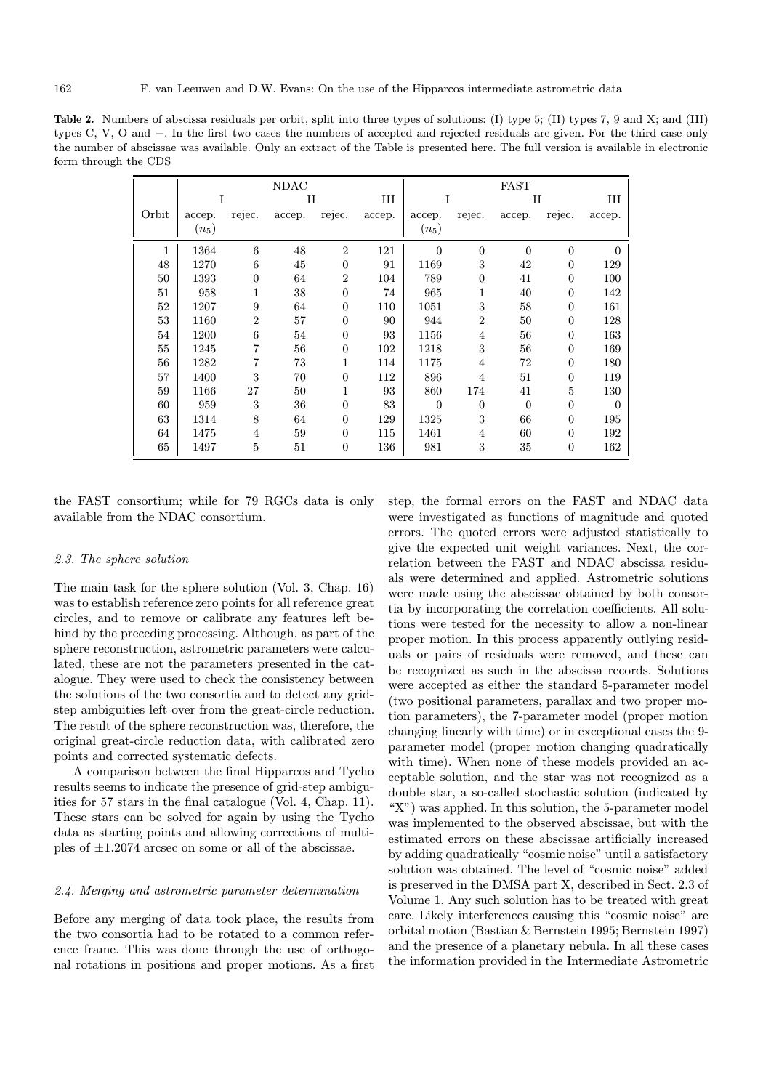Table 2. Numbers of abscissa residuals per orbit, split into three types of solutions: (I) type 5; (II) types 7, 9 and X; and (III) types C, V, O and −. In the first two cases the numbers of accepted and rejected residuals are given. For the third case only the number of abscissae was available. Only an extract of the Table is presented here. The full version is available in electronic form through the CDS

|       | <b>NDAC</b> |                |             |                  |        | <b>FAST</b>    |                |                |                  |                |
|-------|-------------|----------------|-------------|------------------|--------|----------------|----------------|----------------|------------------|----------------|
|       | T           |                | $_{\rm II}$ |                  | III    | I              |                | П              |                  | Ш              |
| Orbit | accep.      | rejec.         | accep.      | rejec.           | accep. | accep.         | rejec.         | accep.         | rejec.           | accep.         |
|       | $(n_5)$     |                |             |                  |        | $(n_5)$        |                |                |                  |                |
| 1     | 1364        | 6              | 48          | $\overline{2}$   | 121    | $\overline{0}$ | $\overline{0}$ | $\overline{0}$ | $\overline{0}$   | $\Omega$       |
| 48    | 1270        | 6              | 45          | $\boldsymbol{0}$ | 91     | 1169           | 3              | 42             | $\overline{0}$   | 129            |
| 50    | 1393        | $\overline{0}$ | 64          | $\overline{2}$   | 104    | 789            | $\Omega$       | 41             | $\overline{0}$   | 100            |
| 51    | 958         | 1              | 38          | $\boldsymbol{0}$ | 74     | 965            | 1              | 40             | $\boldsymbol{0}$ | 142            |
| 52    | 1207        | 9              | 64          | $\boldsymbol{0}$ | 110    | 1051           | 3              | 58             | $\boldsymbol{0}$ | 161            |
| 53    | 1160        | $\overline{2}$ | 57          | $\boldsymbol{0}$ | 90     | 944            | $\overline{2}$ | 50             | $\boldsymbol{0}$ | 128            |
| 54    | 1200        | 6              | 54          | $\boldsymbol{0}$ | 93     | 1156           | $\overline{4}$ | 56             | $\overline{0}$   | 163            |
| 55    | 1245        |                | 56          | $\boldsymbol{0}$ | 102    | 1218           | 3              | 56             | $\boldsymbol{0}$ | 169            |
| 56    | 1282        | 7              | 73          | 1                | 114    | 1175           | $\overline{4}$ | 72             | $\overline{0}$   | 180            |
| 57    | 1400        | 3              | 70          | $\overline{0}$   | 112    | 896            | 4              | 51             | $\overline{0}$   | 119            |
| 59    | 1166        | 27             | 50          | 1                | 93     | 860            | 174            | 41             | 5                | 130            |
| 60    | 959         | 3              | 36          | $\boldsymbol{0}$ | 83     | $\overline{0}$ | $\overline{0}$ | $\mathbf{0}$   | $\boldsymbol{0}$ | $\overline{0}$ |
| 63    | 1314        | 8              | 64          | $\boldsymbol{0}$ | 129    | 1325           | 3              | 66             | $\overline{0}$   | 195            |
| 64    | 1475        | 4              | 59          | $\boldsymbol{0}$ | 115    | 1461           | 4              | 60             | $\boldsymbol{0}$ | 192            |
| 65    | 1497        | 5              | 51          | $\boldsymbol{0}$ | 136    | 981            | 3              | 35             | $\boldsymbol{0}$ | 162            |

the FAST consortium; while for 79 RGCs data is only available from the NDAC consortium.

## 2.3. The sphere solution

The main task for the sphere solution (Vol. 3, Chap. 16) was to establish reference zero points for all reference great circles, and to remove or calibrate any features left behind by the preceding processing. Although, as part of the sphere reconstruction, astrometric parameters were calculated, these are not the parameters presented in the catalogue. They were used to check the consistency between the solutions of the two consortia and to detect any gridstep ambiguities left over from the great-circle reduction. The result of the sphere reconstruction was, therefore, the original great-circle reduction data, with calibrated zero points and corrected systematic defects.

A comparison between the final Hipparcos and Tycho results seems to indicate the presence of grid-step ambiguities for 57 stars in the final catalogue (Vol. 4, Chap. 11). These stars can be solved for again by using the Tycho data as starting points and allowing corrections of multiples of ±1.2074 arcsec on some or all of the abscissae.

## 2.4. Merging and astrometric parameter determination

Before any merging of data took place, the results from the two consortia had to be rotated to a common reference frame. This was done through the use of orthogonal rotations in positions and proper motions. As a first step, the formal errors on the FAST and NDAC data were investigated as functions of magnitude and quoted errors. The quoted errors were adjusted statistically to give the expected unit weight variances. Next, the correlation between the FAST and NDAC abscissa residuals were determined and applied. Astrometric solutions were made using the abscissae obtained by both consortia by incorporating the correlation coefficients. All solutions were tested for the necessity to allow a non-linear proper motion. In this process apparently outlying residuals or pairs of residuals were removed, and these can be recognized as such in the abscissa records. Solutions were accepted as either the standard 5-parameter model (two positional parameters, parallax and two proper motion parameters), the 7-parameter model (proper motion changing linearly with time) or in exceptional cases the 9 parameter model (proper motion changing quadratically with time). When none of these models provided an acceptable solution, and the star was not recognized as a double star, a so-called stochastic solution (indicated by "X") was applied. In this solution, the 5-parameter model was implemented to the observed abscissae, but with the estimated errors on these abscissae artificially increased by adding quadratically "cosmic noise" until a satisfactory solution was obtained. The level of "cosmic noise" added is preserved in the DMSA part X, described in Sect. 2.3 of Volume 1. Any such solution has to be treated with great care. Likely interferences causing this "cosmic noise" are orbital motion (Bastian & Bernstein 1995; Bernstein 1997) and the presence of a planetary nebula. In all these cases the information provided in the Intermediate Astrometric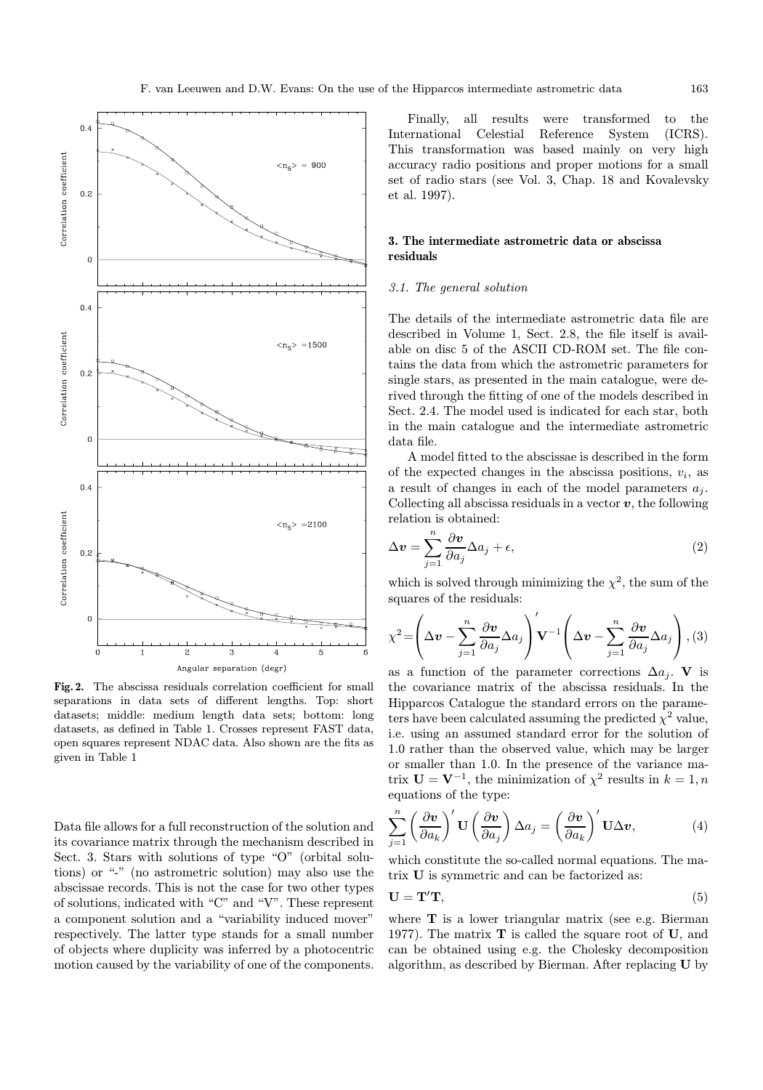

Fig. 2. The abscissa residuals correlation coefficient for small separations in data sets of different lengths. Top: short datasets; middle: medium length data sets; bottom: long datasets, as defined in Table 1. Crosses represent FAST data, open squares represent NDAC data. Also shown are the fits as given in Table 1

Data file allows for a full reconstruction of the solution and its covariance matrix through the mechanism described in Sect. 3. Stars with solutions of type "O" (orbital solutions) or "-" (no astrometric solution) may also use the abscissae records. This is not the case for two other types of solutions, indicated with "C" and "V". These represent a component solution and a "variability induced mover" respectively. The latter type stands for a small number of objects where duplicity was inferred by a photocentric motion caused by the variability of one of the components.

Finally, all results were transformed to the International Celestial Reference System (ICRS). This transformation was based mainly on very high accuracy radio positions and proper motions for a small set of radio stars (see Vol. 3, Chap. 18 and Kovalevsky et al. 1997).

# 3. The intermediate astrometric data or abscissa residuals

# 3.1. The general solution

The details of the intermediate astrometric data file are described in Volume 1, Sect. 2.8, the file itself is available on disc 5 of the ASCII CD-ROM set. The file contains the data from which the astrometric parameters for single stars, as presented in the main catalogue, were derived through the fitting of one of the models described in Sect. 2.4. The model used is indicated for each star, both in the main catalogue and the intermediate astrometric data file.

A model fitted to the abscissae is described in the form of the expected changes in the abscissa positions,  $v_i$ , as a result of changes in each of the model parameters  $a_j$ . Collecting all abscissa residuals in a vector  $v$ , the following relation is obtained:

$$
\Delta v = \sum_{j=1}^{n} \frac{\partial v}{\partial a_j} \Delta a_j + \epsilon,
$$
\n(2)

which is solved through minimizing the  $\chi^2$ , the sum of the squares of the residuals:

$$
\chi^{2} = \left(\Delta v - \sum_{j=1}^{n} \frac{\partial v}{\partial a_{j}} \Delta a_{j}\right) \mathbf{V}^{-1} \left(\Delta v - \sum_{j=1}^{n} \frac{\partial v}{\partial a_{j}} \Delta a_{j}\right), (3)
$$

as a function of the parameter corrections  $\Delta a_i$ . V is the covariance matrix of the abscissa residuals. In the Hipparcos Catalogue the standard errors on the parameters have been calculated assuming the predicted  $\chi^2$  value, i.e. using an assumed standard error for the solution of 1.0 rather than the observed value, which may be larger or smaller than 1.0. In the presence of the variance matrix  $\mathbf{U} = \mathbf{V}^{-1},$  the minimization of  $\chi^2$  results in  $k=1,n$ equations of the type:

$$
\sum_{j=1}^{n} \left(\frac{\partial \mathbf{v}}{\partial a_k}\right)' \mathbf{U} \left(\frac{\partial \mathbf{v}}{\partial a_j}\right) \Delta a_j = \left(\frac{\partial \mathbf{v}}{\partial a_k}\right)' \mathbf{U} \Delta \mathbf{v},\tag{4}
$$

which constitute the so-called normal equations. The matrix U is symmetric and can be factorized as:

$$
\mathbf{U} = \mathbf{T}' \mathbf{T},\tag{5}
$$

where  $T$  is a lower triangular matrix (see e.g. Bierman 1977). The matrix  $\mathbf T$  is called the square root of  $\mathbf U$ , and can be obtained using e.g. the Cholesky decomposition algorithm, as described by Bierman. After replacing U by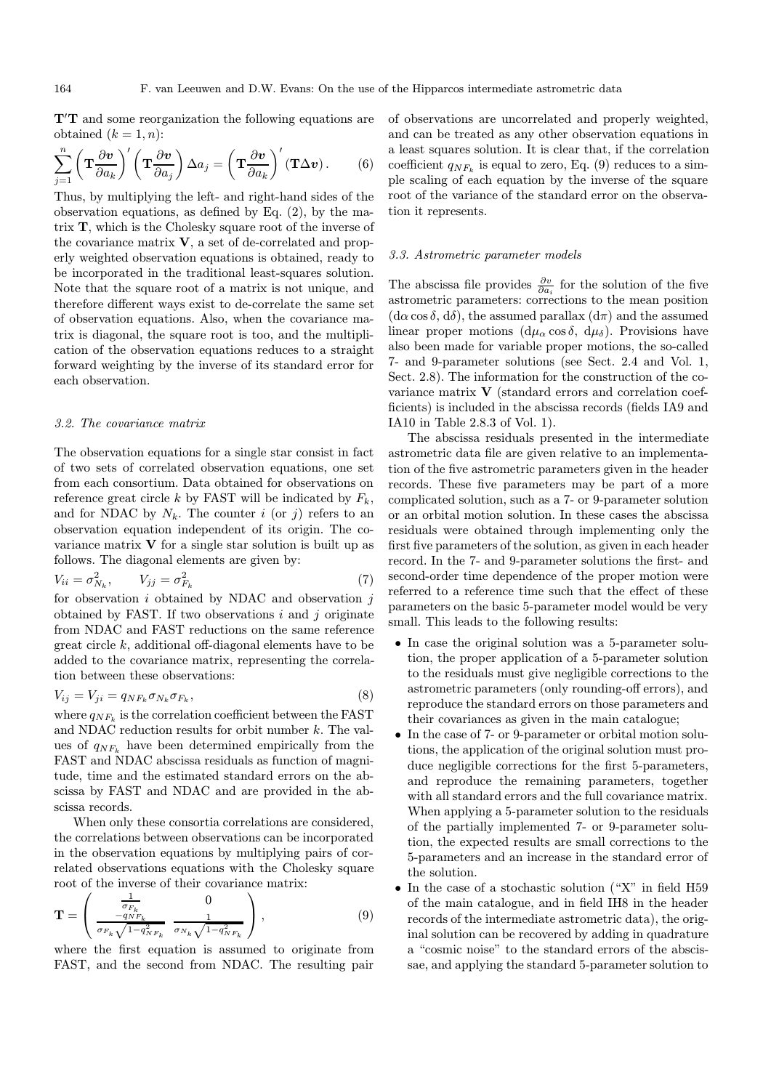T'T and some reorganization the following equations are obtained  $(k = 1, n)$ :

$$
\sum_{j=1}^{n} \left( \mathbf{T} \frac{\partial \mathbf{v}}{\partial a_k} \right)' \left( \mathbf{T} \frac{\partial \mathbf{v}}{\partial a_j} \right) \Delta a_j = \left( \mathbf{T} \frac{\partial \mathbf{v}}{\partial a_k} \right)' (\mathbf{T} \Delta \mathbf{v}). \tag{6}
$$

Thus, by multiplying the left- and right-hand sides of the observation equations, as defined by Eq. (2), by the matrix T, which is the Cholesky square root of the inverse of the covariance matrix  $V$ , a set of de-correlated and properly weighted observation equations is obtained, ready to be incorporated in the traditional least-squares solution. Note that the square root of a matrix is not unique, and therefore different ways exist to de-correlate the same set of observation equations. Also, when the covariance matrix is diagonal, the square root is too, and the multiplication of the observation equations reduces to a straight forward weighting by the inverse of its standard error for each observation.

#### 3.2. The covariance matrix

The observation equations for a single star consist in fact of two sets of correlated observation equations, one set from each consortium. Data obtained for observations on reference great circle k by FAST will be indicated by  $F_k$ , and for NDAC by  $N_k$ . The counter i (or j) refers to an observation equation independent of its origin. The covariance matrix  $V$  for a single star solution is built up as follows. The diagonal elements are given by:

$$
V_{ii} = \sigma_{N_k}^2, \qquad V_{jj} = \sigma_{F_k}^2 \tag{7}
$$

for observation  $i$  obtained by NDAC and observation  $j$ obtained by FAST. If two observations  $i$  and  $j$  originate from NDAC and FAST reductions on the same reference great circle k, additional off-diagonal elements have to be added to the covariance matrix, representing the correlation between these observations:

$$
V_{ij} = V_{ji} = q_{NF_k} \sigma_{N_k} \sigma_{F_k},\tag{8}
$$

where  $q_{NF_k}$  is the correlation coefficient between the FAST and NDAC reduction results for orbit number k. The values of  $q_{NF_k}$  have been determined empirically from the FAST and NDAC abscissa residuals as function of magnitude, time and the estimated standard errors on the abscissa by FAST and NDAC and are provided in the abscissa records.

When only these consortia correlations are considered, the correlations between observations can be incorporated in the observation equations by multiplying pairs of correlated observations equations with the Cholesky square root of the inverse of their covariance matrix:

$$
\mathbf{T} = \begin{pmatrix} \frac{1}{\sigma_{F_k}} & 0\\ \frac{-q_{NF_k}}{\sigma_{F_k}\sqrt{1 - q_{NF_k}^2}} & \frac{1}{\sigma_{N_k}\sqrt{1 - q_{NF_k}^2}} \end{pmatrix},
$$
(9)

where the first equation is assumed to originate from FAST, and the second from NDAC. The resulting pair

of observations are uncorrelated and properly weighted, and can be treated as any other observation equations in a least squares solution. It is clear that, if the correlation coefficient  $q_{NF_k}$  is equal to zero, Eq. (9) reduces to a simple scaling of each equation by the inverse of the square root of the variance of the standard error on the observation it represents.

## 3.3. Astrometric parameter models

The abscissa file provides  $\frac{\partial v}{\partial a_i}$  for the solution of the five astrometric parameters: corrections to the mean position  $(d\alpha \cos \delta, d\delta)$ , the assumed parallax  $(d\pi)$  and the assumed linear proper motions  $(d\mu_{\alpha} \cos \delta, d\mu_{\delta})$ . Provisions have also been made for variable proper motions, the so-called 7- and 9-parameter solutions (see Sect. 2.4 and Vol. 1, Sect. 2.8). The information for the construction of the covariance matrix V (standard errors and correlation coefficients) is included in the abscissa records (fields IA9 and IA10 in Table 2.8.3 of Vol. 1).

The abscissa residuals presented in the intermediate astrometric data file are given relative to an implementation of the five astrometric parameters given in the header records. These five parameters may be part of a more complicated solution, such as a 7- or 9-parameter solution or an orbital motion solution. In these cases the abscissa residuals were obtained through implementing only the first five parameters of the solution, as given in each header record. In the 7- and 9-parameter solutions the first- and second-order time dependence of the proper motion were referred to a reference time such that the effect of these parameters on the basic 5-parameter model would be very small. This leads to the following results:

- In case the original solution was a 5-parameter solution, the proper application of a 5-parameter solution to the residuals must give negligible corrections to the astrometric parameters (only rounding-off errors), and reproduce the standard errors on those parameters and their covariances as given in the main catalogue;
- In the case of 7- or 9-parameter or orbital motion solutions, the application of the original solution must produce negligible corrections for the first 5-parameters, and reproduce the remaining parameters, together with all standard errors and the full covariance matrix. When applying a 5-parameter solution to the residuals of the partially implemented 7- or 9-parameter solution, the expected results are small corrections to the 5-parameters and an increase in the standard error of the solution.
- In the case of a stochastic solution ("X" in field H59 of the main catalogue, and in field IH8 in the header records of the intermediate astrometric data), the original solution can be recovered by adding in quadrature a "cosmic noise" to the standard errors of the abscissae, and applying the standard 5-parameter solution to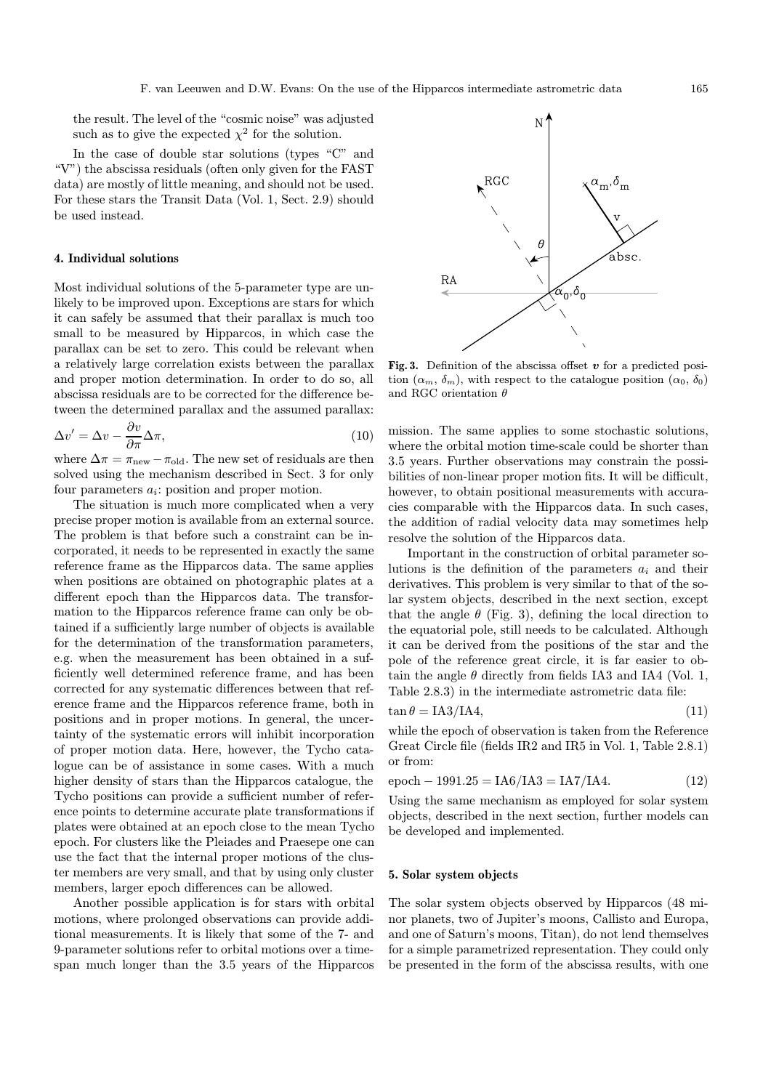the result. The level of the "cosmic noise" was adjusted such as to give the expected  $\chi^2$  for the solution.

In the case of double star solutions (types "C" and "V") the abscissa residuals (often only given for the FAST data) are mostly of little meaning, and should not be used. For these stars the Transit Data (Vol. 1, Sect. 2.9) should be used instead.

## 4. Individual solutions

Most individual solutions of the 5-parameter type are unlikely to be improved upon. Exceptions are stars for which it can safely be assumed that their parallax is much too small to be measured by Hipparcos, in which case the parallax can be set to zero. This could be relevant when a relatively large correlation exists between the parallax and proper motion determination. In order to do so, all abscissa residuals are to be corrected for the difference between the determined parallax and the assumed parallax:

$$
\Delta v' = \Delta v - \frac{\partial v}{\partial \pi} \Delta \pi,\tag{10}
$$

where  $\Delta \pi = \pi_{\text{new}} - \pi_{\text{old}}$ . The new set of residuals are then solved using the mechanism described in Sect. 3 for only four parameters  $a_i$ : position and proper motion.

The situation is much more complicated when a very precise proper motion is available from an external source. The problem is that before such a constraint can be incorporated, it needs to be represented in exactly the same reference frame as the Hipparcos data. The same applies when positions are obtained on photographic plates at a different epoch than the Hipparcos data. The transformation to the Hipparcos reference frame can only be obtained if a sufficiently large number of objects is available for the determination of the transformation parameters, e.g. when the measurement has been obtained in a sufficiently well determined reference frame, and has been corrected for any systematic differences between that reference frame and the Hipparcos reference frame, both in positions and in proper motions. In general, the uncertainty of the systematic errors will inhibit incorporation of proper motion data. Here, however, the Tycho catalogue can be of assistance in some cases. With a much higher density of stars than the Hipparcos catalogue, the Tycho positions can provide a sufficient number of reference points to determine accurate plate transformations if plates were obtained at an epoch close to the mean Tycho epoch. For clusters like the Pleiades and Praesepe one can use the fact that the internal proper motions of the cluster members are very small, and that by using only cluster members, larger epoch differences can be allowed.

Another possible application is for stars with orbital motions, where prolonged observations can provide additional measurements. It is likely that some of the 7- and 9-parameter solutions refer to orbital motions over a timespan much longer than the 3.5 years of the Hipparcos



Fig. 3. Definition of the abscissa offset  $v$  for a predicted position  $(\alpha_m, \delta_m)$ , with respect to the catalogue position  $(\alpha_0, \delta_0)$ and RGC orientation  $\theta$ 

mission. The same applies to some stochastic solutions, where the orbital motion time-scale could be shorter than 3.5 years. Further observations may constrain the possibilities of non-linear proper motion fits. It will be difficult, however, to obtain positional measurements with accuracies comparable with the Hipparcos data. In such cases, the addition of radial velocity data may sometimes help resolve the solution of the Hipparcos data.

Important in the construction of orbital parameter solutions is the definition of the parameters  $a_i$  and their derivatives. This problem is very similar to that of the solar system objects, described in the next section, except that the angle  $\theta$  (Fig. 3), defining the local direction to the equatorial pole, still needs to be calculated. Although it can be derived from the positions of the star and the pole of the reference great circle, it is far easier to obtain the angle  $\theta$  directly from fields IA3 and IA4 (Vol. 1, Table 2.8.3) in the intermediate astrometric data file:

$$
\tan \theta = \text{IA3/IA4},\tag{11}
$$

while the epoch of observation is taken from the Reference Great Circle file (fields IR2 and IR5 in Vol. 1, Table 2.8.1) or from:

$$
epoch - 1991.25 = IAG/IA3 = IA7/IA4.
$$
 (12)

Using the same mechanism as employed for solar system objects, described in the next section, further models can be developed and implemented.

#### 5. Solar system objects

The solar system objects observed by Hipparcos (48 minor planets, two of Jupiter's moons, Callisto and Europa, and one of Saturn's moons, Titan), do not lend themselves for a simple parametrized representation. They could only be presented in the form of the abscissa results, with one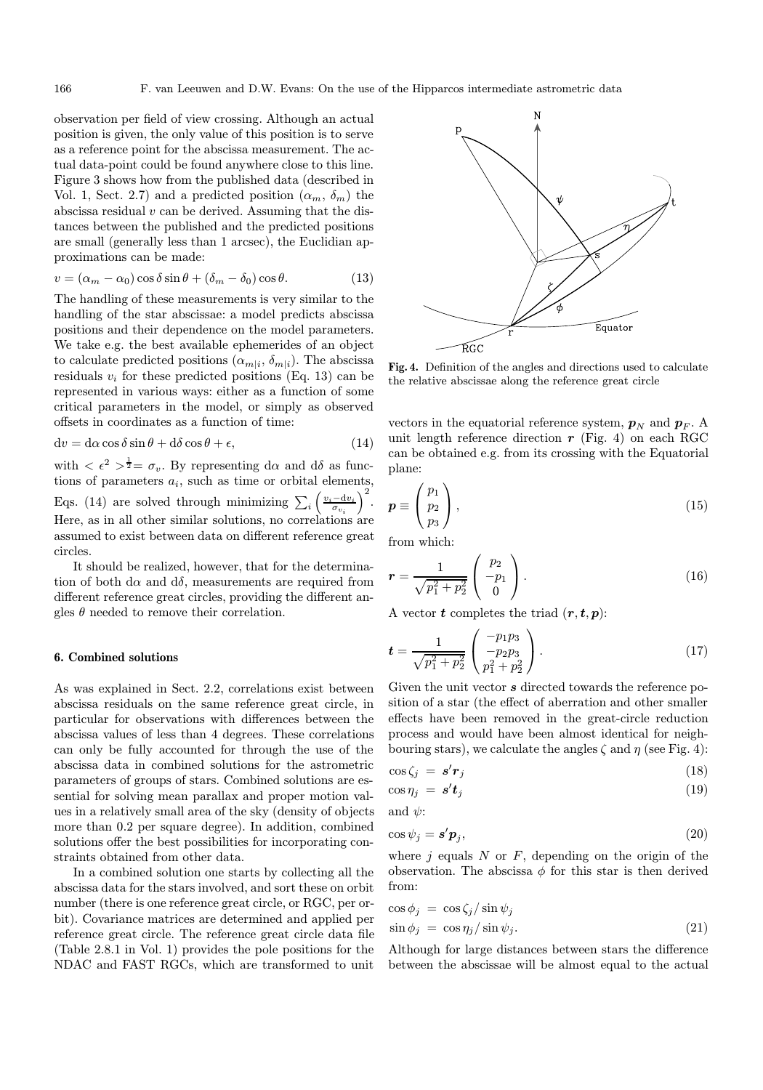observation per field of view crossing. Although an actual position is given, the only value of this position is to serve as a reference point for the abscissa measurement. The actual data-point could be found anywhere close to this line. Figure 3 shows how from the published data (described in Vol. 1, Sect. 2.7) and a predicted position  $(\alpha_m, \delta_m)$  the abscissa residual  $v$  can be derived. Assuming that the distances between the published and the predicted positions are small (generally less than 1 arcsec), the Euclidian approximations can be made:

$$
v = (\alpha_m - \alpha_0) \cos \delta \sin \theta + (\delta_m - \delta_0) \cos \theta. \tag{13}
$$

The handling of these measurements is very similar to the handling of the star abscissae: a model predicts abscissa positions and their dependence on the model parameters. We take e.g. the best available ephemerides of an object to calculate predicted positions  $(\alpha_{m|i}, \delta_{m|i})$ . The abscissa residuals  $v_i$  for these predicted positions (Eq. 13) can be represented in various ways: either as a function of some critical parameters in the model, or simply as observed offsets in coordinates as a function of time:

$$
dv = d\alpha \cos \delta \sin \theta + d\delta \cos \theta + \epsilon, \qquad (14)
$$

with  $\langle \epsilon^2 \rangle^{\frac{1}{2}} = \sigma_v$ . By representing d $\alpha$  and d $\delta$  as functions of parameters  $a_i$ , such as time or orbital elements, Eqs. (14) are solved through minimizing  $\sum_i \left( \frac{v_i - dv_i}{\sigma_{n_i}} \right)$  $\sigma_{v_i}$  $\big)^2$ . Here, as in all other similar solutions, no correlations are assumed to exist between data on different reference great circles.

It should be realized, however, that for the determination of both d $\alpha$  and d $\delta$ , measurements are required from different reference great circles, providing the different angles  $\theta$  needed to remove their correlation.

## 6. Combined solutions

As was explained in Sect. 2.2, correlations exist between abscissa residuals on the same reference great circle, in particular for observations with differences between the abscissa values of less than 4 degrees. These correlations can only be fully accounted for through the use of the abscissa data in combined solutions for the astrometric parameters of groups of stars. Combined solutions are essential for solving mean parallax and proper motion values in a relatively small area of the sky (density of objects more than 0.2 per square degree). In addition, combined solutions offer the best possibilities for incorporating constraints obtained from other data.

In a combined solution one starts by collecting all the abscissa data for the stars involved, and sort these on orbit number (there is one reference great circle, or RGC, per orbit). Covariance matrices are determined and applied per reference great circle. The reference great circle data file (Table 2.8.1 in Vol. 1) provides the pole positions for the NDAC and FAST RGCs, which are transformed to unit



Fig. 4. Definition of the angles and directions used to calculate the relative abscissae along the reference great circle

vectors in the equatorial reference system,  $p_N$  and  $p_F$ . A unit length reference direction  $r$  (Fig. 4) on each RGC can be obtained e.g. from its crossing with the Equatorial plane:

$$
\boldsymbol{p} \equiv \begin{pmatrix} p_1 \\ p_2 \\ p_3 \end{pmatrix}, \tag{15}
$$

from which:

$$
r = \frac{1}{\sqrt{p_1^2 + p_2^2}} \begin{pmatrix} p_2 \\ -p_1 \\ 0 \end{pmatrix} . \tag{16}
$$

A vector **t** completes the triad  $(r, t, p)$ :

$$
t = \frac{1}{\sqrt{p_1^2 + p_2^2}} \begin{pmatrix} -p_1 p_3 \\ -p_2 p_3 \\ p_1^2 + p_2^2 \end{pmatrix} . \tag{17}
$$

Given the unit vector  $s$  directed towards the reference position of a star (the effect of aberration and other smaller effects have been removed in the great-circle reduction process and would have been almost identical for neighbouring stars), we calculate the angles  $\zeta$  and  $\eta$  (see Fig. 4):

$$
\cos \zeta_j = \mathbf{s}' \mathbf{r}_j \tag{18}
$$

$$
\cos \eta_j = \mathbf{s}' \mathbf{t}_j \tag{19}
$$

and  $\psi$ :

$$
\cos \psi_j = \mathbf{s}' \mathbf{p}_j,\tag{20}
$$

where  $j$  equals  $N$  or  $F$ , depending on the origin of the observation. The abscissa  $\phi$  for this star is then derived from:

$$
\cos \phi_j = \cos \zeta_j / \sin \psi_j \n\sin \phi_j = \cos \eta_j / \sin \psi_j.
$$
\n(21)

Although for large distances between stars the difference between the abscissae will be almost equal to the actual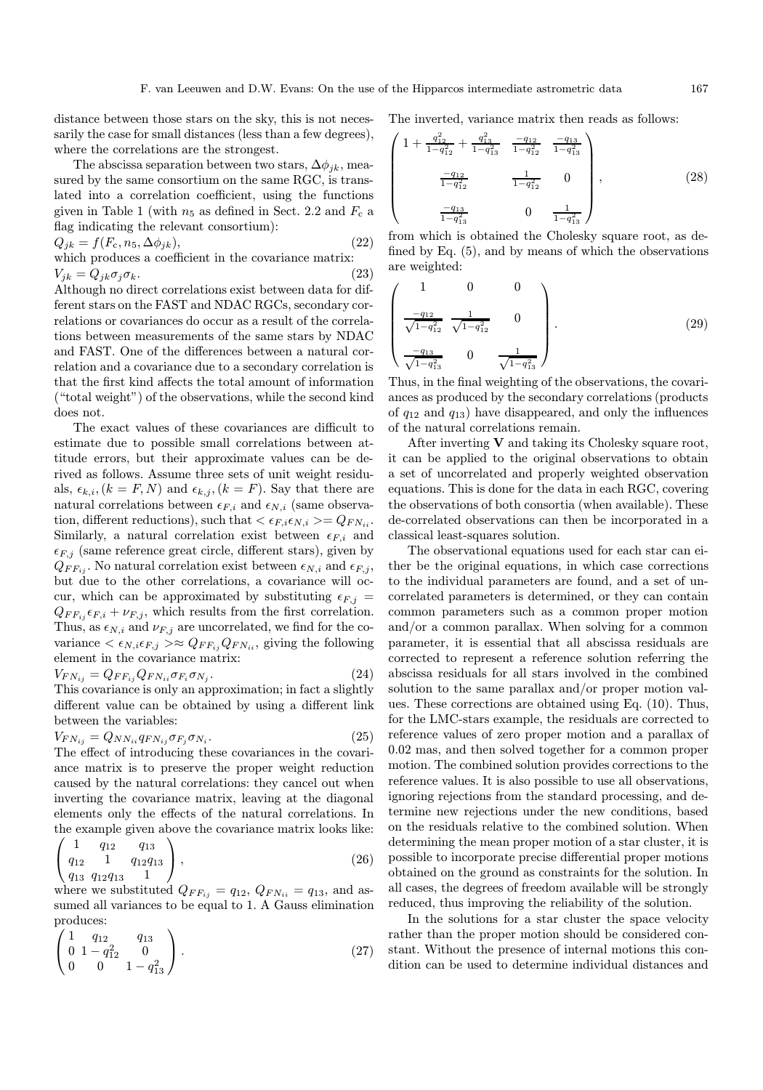distance between those stars on the sky, this is not necessarily the case for small distances (less than a few degrees), where the correlations are the strongest.

The abscissa separation between two stars,  $\Delta \phi_{ik}$ , measured by the same consortium on the same RGC, is translated into a correlation coefficient, using the functions given in Table 1 (with  $n_5$  as defined in Sect. 2.2 and  $F_c$  a flag indicating the relevant consortium):

$$
Q_{jk} = f(F_c, n_5, \Delta \phi_{jk}),
$$
  
which produces a coefficient in the covariance matrix:

$$
V_{jk} = Q_{jk}\sigma_j\sigma_k. \tag{23}
$$

Although no direct correlations exist between data for different stars on the FAST and NDAC RGCs, secondary correlations or covariances do occur as a result of the correlations between measurements of the same stars by NDAC and FAST. One of the differences between a natural correlation and a covariance due to a secondary correlation is that the first kind affects the total amount of information ("total weight") of the observations, while the second kind does not.

The exact values of these covariances are difficult to estimate due to possible small correlations between attitude errors, but their approximate values can be derived as follows. Assume three sets of unit weight residuals,  $\epsilon_{k,i}$ ,  $(k = F, N)$  and  $\epsilon_{k,i}$ ,  $(k = F)$ . Say that there are natural correlations between  $\epsilon_{F,i}$  and  $\epsilon_{N,i}$  (same observation, different reductions), such that  $\langle \epsilon_{F,i} \epsilon_{N,i} \rangle = Q_{FN_{ii}}$ . Similarly, a natural correlation exist between  $\epsilon_{F,i}$  and  $\epsilon_{F,j}$  (same reference great circle, different stars), given by  $Q_{FF_{ij}}$ . No natural correlation exist between  $\epsilon_{N,i}$  and  $\epsilon_{F,j}$ , but due to the other correlations, a covariance will occur, which can be approximated by substituting  $\epsilon_{F,j}$  =  $Q_{FF_{ij}}\epsilon_{F,i} + \nu_{F,j}$ , which results from the first correlation. Thus, as  $\epsilon_{N,i}$  and  $\nu_{F,j}$  are uncorrelated, we find for the covariance  $\langle \epsilon_{N,i} \epsilon_{F,j} \rangle \approx Q_{FF_{ij}} Q_{FN_{ii}}$ , giving the following element in the covariance matrix:

$$
V_{FN_{ij}} = Q_{FF_{ij}} Q_{FN_{ii}} \sigma_{F_i} \sigma_{N_j}.
$$
\n
$$
(24)
$$

This covariance is only an approximation; in fact a slightly different value can be obtained by using a different link between the variables:

$$
V_{FN_{ij}} = Q_{NN_{ii}} q_{FN_{ij}} \sigma_{F_j} \sigma_{N_i}.
$$
\n
$$
(25)
$$

The effect of introducing these covariances in the covariance matrix is to preserve the proper weight reduction caused by the natural correlations: they cancel out when inverting the covariance matrix, leaving at the diagonal elements only the effects of the natural correlations. In the example given above the covariance matrix looks like:

$$
\left(\begin{array}{ccc}\n1 & q_{12} & q_{13} \\
q_{12} & 1 & q_{12}q_{13} \\
q_{13} & q_{12}q_{13} & 1\n\end{array}\right),\n\tag{26}
$$

where we substituted  $Q_{FF_{ij}} = q_{12}, Q_{FN_{ii}} = q_{13}$ , and assumed all variances to be equal to 1. A Gauss elimination produces:

$$
\begin{pmatrix} 1 & q_{12} & q_{13} \\ 0 & 1 - q_{12}^2 & 0 \\ 0 & 0 & 1 - q_{13}^2 \end{pmatrix}.
$$
 (27)

The inverted, variance matrix then reads as follows:

$$
\begin{pmatrix}\n1 + \frac{q_{12}^2}{1 - q_{12}^2} + \frac{q_{13}^2}{1 - q_{13}^2} & \frac{-q_{12}}{1 - q_{12}^2} & \frac{-q_{13}}{1 - q_{13}^2} \\
\frac{-q_{12}}{1 - q_{12}^2} & \frac{1}{1 - q_{12}^2} & 0 \\
\frac{-q_{13}}{1 - q_{13}^2} & 0 & \frac{1}{1 - q_{13}^2}\n\end{pmatrix},
$$
\n(28)

from which is obtained the Cholesky square root, as defined by Eq. (5), and by means of which the observations are weighted:

$$
\begin{pmatrix}\n1 & 0 & 0 \\
\frac{-q_{12}}{\sqrt{1-q_{12}^2}} & \frac{1}{\sqrt{1-q_{12}^2}} & 0 \\
\frac{-q_{13}}{\sqrt{1-q_{13}^2}} & 0 & \frac{1}{\sqrt{1-q_{13}^2}}\n\end{pmatrix}.
$$
\n(29)

Thus, in the final weighting of the observations, the covariances as produced by the secondary correlations (products of  $q_{12}$  and  $q_{13}$ ) have disappeared, and only the influences of the natural correlations remain.

After inverting  $V$  and taking its Cholesky square root, it can be applied to the original observations to obtain a set of uncorrelated and properly weighted observation equations. This is done for the data in each RGC, covering the observations of both consortia (when available). These de-correlated observations can then be incorporated in a classical least-squares solution.

The observational equations used for each star can either be the original equations, in which case corrections to the individual parameters are found, and a set of uncorrelated parameters is determined, or they can contain common parameters such as a common proper motion and/or a common parallax. When solving for a common parameter, it is essential that all abscissa residuals are corrected to represent a reference solution referring the abscissa residuals for all stars involved in the combined solution to the same parallax and/or proper motion values. These corrections are obtained using Eq. (10). Thus, for the LMC-stars example, the residuals are corrected to reference values of zero proper motion and a parallax of 0.02 mas, and then solved together for a common proper motion. The combined solution provides corrections to the reference values. It is also possible to use all observations, ignoring rejections from the standard processing, and determine new rejections under the new conditions, based on the residuals relative to the combined solution. When determining the mean proper motion of a star cluster, it is possible to incorporate precise differential proper motions obtained on the ground as constraints for the solution. In all cases, the degrees of freedom available will be strongly reduced, thus improving the reliability of the solution.

In the solutions for a star cluster the space velocity rather than the proper motion should be considered constant. Without the presence of internal motions this condition can be used to determine individual distances and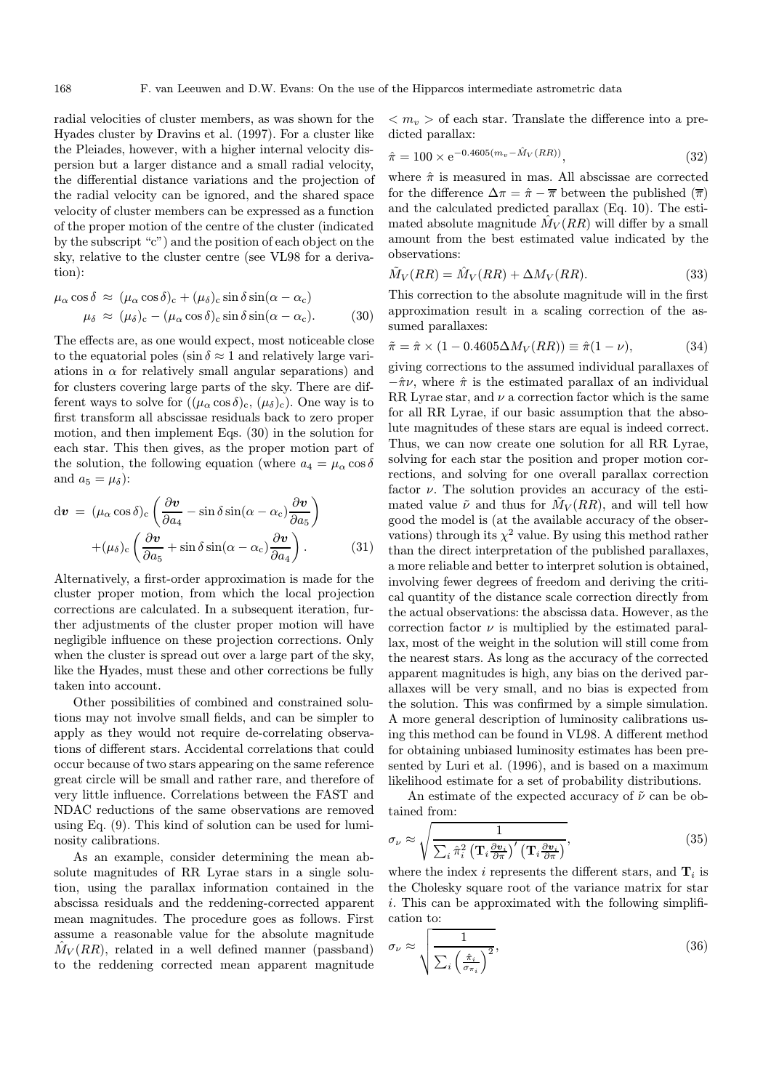radial velocities of cluster members, as was shown for the Hyades cluster by Dravins et al. (1997). For a cluster like the Pleiades, however, with a higher internal velocity dispersion but a larger distance and a small radial velocity, the differential distance variations and the projection of the radial velocity can be ignored, and the shared space velocity of cluster members can be expressed as a function of the proper motion of the centre of the cluster (indicated by the subscript "c") and the position of each object on the sky, relative to the cluster centre (see VL98 for a derivation):

$$
\mu_{\alpha} \cos \delta \approx (\mu_{\alpha} \cos \delta)_{c} + (\mu_{\delta})_{c} \sin \delta \sin(\alpha - \alpha_{c})
$$
  

$$
\mu_{\delta} \approx (\mu_{\delta})_{c} - (\mu_{\alpha} \cos \delta)_{c} \sin \delta \sin(\alpha - \alpha_{c}).
$$
 (30)

The effects are, as one would expect, most noticeable close to the equatorial poles (sin  $\delta \approx 1$  and relatively large variations in  $\alpha$  for relatively small angular separations) and for clusters covering large parts of the sky. There are different ways to solve for  $((\mu_{\alpha}\cos\delta)_{c}, (\mu_{\delta})_{c})$ . One way is to first transform all abscissae residuals back to zero proper motion, and then implement Eqs. (30) in the solution for each star. This then gives, as the proper motion part of the solution, the following equation (where  $a_4 = \mu_\alpha \cos \delta$ and  $a_5 = \mu_\delta$ :

$$
d\boldsymbol{v} = (\mu_{\alpha}\cos\delta)_{c} \left(\frac{\partial \boldsymbol{v}}{\partial a_{4}} - \sin\delta\sin(\alpha - \alpha_{c})\frac{\partial \boldsymbol{v}}{\partial a_{5}}\right) + (\mu_{\delta})_{c} \left(\frac{\partial \boldsymbol{v}}{\partial a_{5}} + \sin\delta\sin(\alpha - \alpha_{c})\frac{\partial \boldsymbol{v}}{\partial a_{4}}\right).
$$
(31)

Alternatively, a first-order approximation is made for the cluster proper motion, from which the local projection corrections are calculated. In a subsequent iteration, further adjustments of the cluster proper motion will have negligible influence on these projection corrections. Only when the cluster is spread out over a large part of the sky, like the Hyades, must these and other corrections be fully taken into account.

Other possibilities of combined and constrained solutions may not involve small fields, and can be simpler to apply as they would not require de-correlating observations of different stars. Accidental correlations that could occur because of two stars appearing on the same reference great circle will be small and rather rare, and therefore of very little influence. Correlations between the FAST and NDAC reductions of the same observations are removed using Eq. (9). This kind of solution can be used for luminosity calibrations.

As an example, consider determining the mean absolute magnitudes of RR Lyrae stars in a single solution, using the parallax information contained in the abscissa residuals and the reddening-corrected apparent mean magnitudes. The procedure goes as follows. First assume a reasonable value for the absolute magnitude  $M_V(RR)$ , related in a well defined manner (passband) to the reddening corrected mean apparent magnitude

 $\langle m_v \rangle$  of each star. Translate the difference into a predicted parallax:

$$
\hat{\pi} = 100 \times e^{-0.4605(m_v - \hat{M}_V(RR))},\tag{32}
$$

where  $\hat{\pi}$  is measured in mas. All abscissae are corrected for the difference  $\Delta \pi = \hat{\pi} - \overline{\pi}$  between the published  $(\overline{\pi})$ and the calculated predicted parallax (Eq. 10). The estimated absolute magnitude  $\hat{M}_V(RR)$  will differ by a small amount from the best estimated value indicated by the observations:

$$
\tilde{M}_V(RR) = \hat{M}_V(RR) + \Delta M_V(RR). \tag{33}
$$

This correction to the absolute magnitude will in the first approximation result in a scaling correction of the assumed parallaxes:

$$
\tilde{\pi} = \hat{\pi} \times (1 - 0.4605 \Delta M_V(RR)) \equiv \hat{\pi}(1 - \nu), \tag{34}
$$

giving corrections to the assumed individual parallaxes of  $-\hat{\pi}\nu$ , where  $\hat{\pi}$  is the estimated parallax of an individual RR Lyrae star, and  $\nu$  a correction factor which is the same for all RR Lyrae, if our basic assumption that the absolute magnitudes of these stars are equal is indeed correct. Thus, we can now create one solution for all RR Lyrae, solving for each star the position and proper motion corrections, and solving for one overall parallax correction factor  $\nu$ . The solution provides an accuracy of the estimated value  $\tilde{\nu}$  and thus for  $M_V (RR)$ , and will tell how good the model is (at the available accuracy of the observations) through its  $\chi^2$  value. By using this method rather than the direct interpretation of the published parallaxes, a more reliable and better to interpret solution is obtained, involving fewer degrees of freedom and deriving the critical quantity of the distance scale correction directly from the actual observations: the abscissa data. However, as the correction factor  $\nu$  is multiplied by the estimated parallax, most of the weight in the solution will still come from the nearest stars. As long as the accuracy of the corrected apparent magnitudes is high, any bias on the derived parallaxes will be very small, and no bias is expected from the solution. This was confirmed by a simple simulation. A more general description of luminosity calibrations using this method can be found in VL98. A different method for obtaining unbiased luminosity estimates has been presented by Luri et al. (1996), and is based on a maximum likelihood estimate for a set of probability distributions.

An estimate of the expected accuracy of  $\tilde{\nu}$  can be obtained from:

$$
\sigma_{\nu} \approx \sqrt{\frac{1}{\sum_{i} \hat{\pi}_{i}^{2} \left(\mathbf{T}_{i} \frac{\partial \mathbf{v}_{i}}{\partial \pi}\right)^{'} \left(\mathbf{T}_{i} \frac{\partial \mathbf{v}_{i}}{\partial \pi}\right)^{'}}},
$$
\n(35)

where the index i represents the different stars, and  $\mathbf{T}_i$  is the Cholesky square root of the variance matrix for star i. This can be approximated with the following simplification to:

$$
\sigma_{\nu} \approx \sqrt{\frac{1}{\sum_{i} \left(\frac{\hat{\pi}_{i}}{\sigma_{\pi_{i}}}\right)^{2}}},\tag{36}
$$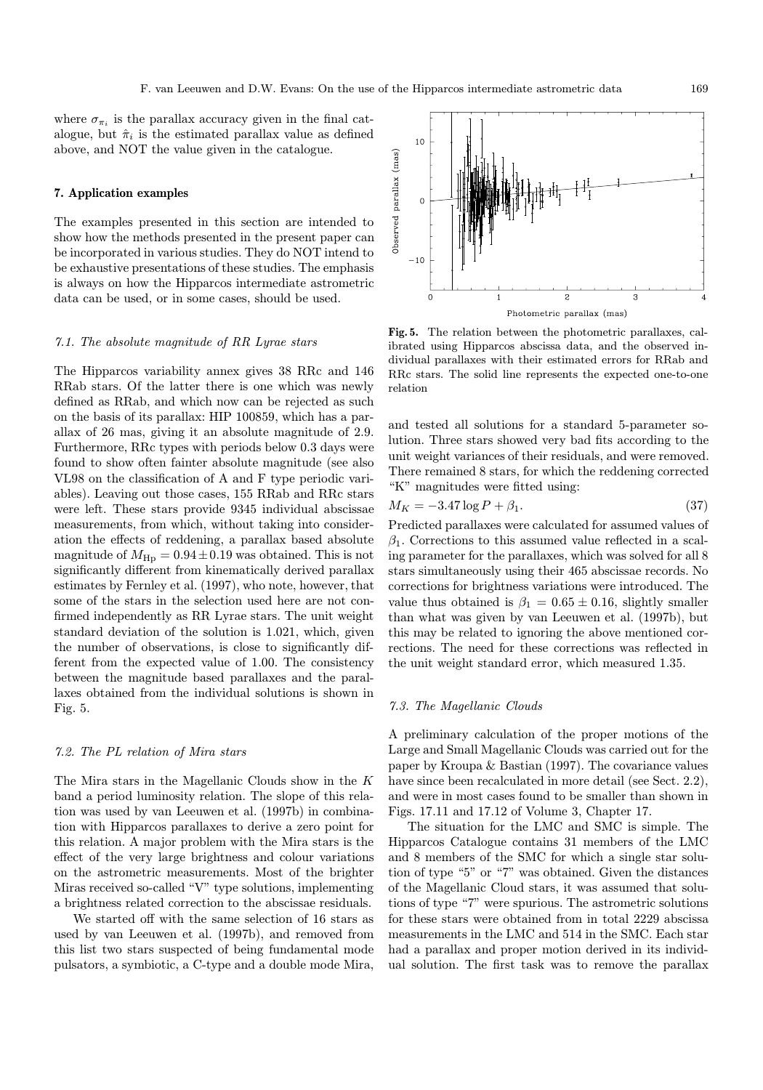where  $\sigma_{\pi_i}$  is the parallax accuracy given in the final catalogue, but  $\hat{\pi}_i$  is the estimated parallax value as defined above, and NOT the value given in the catalogue.

## 7. Application examples

The examples presented in this section are intended to show how the methods presented in the present paper can be incorporated in various studies. They do NOT intend to be exhaustive presentations of these studies. The emphasis is always on how the Hipparcos intermediate astrometric data can be used, or in some cases, should be used.

## 7.1. The absolute magnitude of RR Lyrae stars

The Hipparcos variability annex gives 38 RRc and 146 RRab stars. Of the latter there is one which was newly defined as RRab, and which now can be rejected as such on the basis of its parallax: HIP 100859, which has a parallax of 26 mas, giving it an absolute magnitude of 2.9. Furthermore, RRc types with periods below 0.3 days were found to show often fainter absolute magnitude (see also VL98 on the classification of A and F type periodic variables). Leaving out those cases, 155 RRab and RRc stars were left. These stars provide 9345 individual abscissae measurements, from which, without taking into consideration the effects of reddening, a parallax based absolute magnitude of  $M_{\text{Hp}} = 0.94 \pm 0.19$  was obtained. This is not significantly different from kinematically derived parallax estimates by Fernley et al. (1997), who note, however, that some of the stars in the selection used here are not confirmed independently as RR Lyrae stars. The unit weight standard deviation of the solution is 1.021, which, given the number of observations, is close to significantly different from the expected value of 1.00. The consistency between the magnitude based parallaxes and the parallaxes obtained from the individual solutions is shown in Fig. 5.

# 7.2. The PL relation of Mira stars

The Mira stars in the Magellanic Clouds show in the K band a period luminosity relation. The slope of this relation was used by van Leeuwen et al. (1997b) in combination with Hipparcos parallaxes to derive a zero point for this relation. A major problem with the Mira stars is the effect of the very large brightness and colour variations on the astrometric measurements. Most of the brighter Miras received so-called "V" type solutions, implementing a brightness related correction to the abscissae residuals.

We started off with the same selection of 16 stars as used by van Leeuwen et al. (1997b), and removed from this list two stars suspected of being fundamental mode pulsators, a symbiotic, a C-type and a double mode Mira,



Fig. 5. The relation between the photometric parallaxes, calibrated using Hipparcos abscissa data, and the observed individual parallaxes with their estimated errors for RRab and RRc stars. The solid line represents the expected one-to-one relation

and tested all solutions for a standard 5-parameter solution. Three stars showed very bad fits according to the unit weight variances of their residuals, and were removed. There remained 8 stars, for which the reddening corrected "K" magnitudes were fitted using:

$$
M_K = -3.47 \log P + \beta_1. \tag{37}
$$

Predicted parallaxes were calculated for assumed values of  $\beta_1$ . Corrections to this assumed value reflected in a scaling parameter for the parallaxes, which was solved for all 8 stars simultaneously using their 465 abscissae records. No corrections for brightness variations were introduced. The value thus obtained is  $\beta_1 = 0.65 \pm 0.16$ , slightly smaller than what was given by van Leeuwen et al. (1997b), but this may be related to ignoring the above mentioned corrections. The need for these corrections was reflected in the unit weight standard error, which measured 1.35.

# 7.3. The Magellanic Clouds

A preliminary calculation of the proper motions of the Large and Small Magellanic Clouds was carried out for the paper by Kroupa & Bastian (1997). The covariance values have since been recalculated in more detail (see Sect. 2.2), and were in most cases found to be smaller than shown in Figs. 17.11 and 17.12 of Volume 3, Chapter 17.

The situation for the LMC and SMC is simple. The Hipparcos Catalogue contains 31 members of the LMC and 8 members of the SMC for which a single star solution of type "5" or "7" was obtained. Given the distances of the Magellanic Cloud stars, it was assumed that solutions of type "7" were spurious. The astrometric solutions for these stars were obtained from in total 2229 abscissa measurements in the LMC and 514 in the SMC. Each star had a parallax and proper motion derived in its individual solution. The first task was to remove the parallax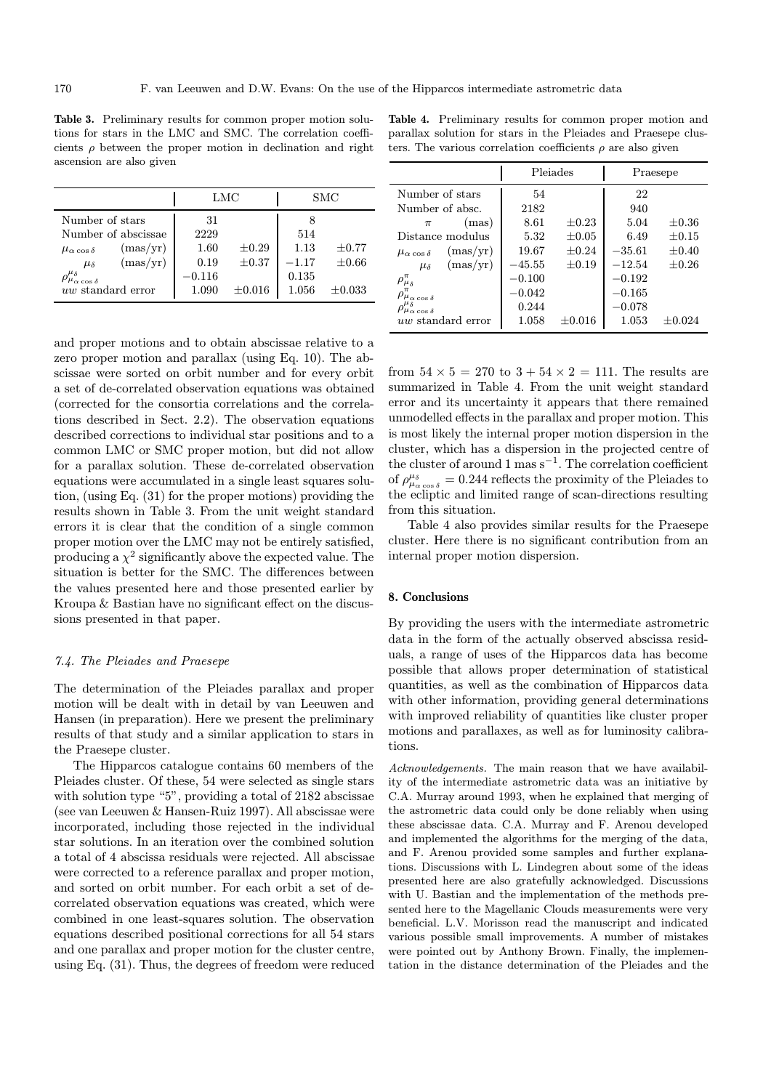Table 3. Preliminary results for common proper motion solutions for stars in the LMC and SMC. The correlation coefficients  $\rho$  between the proper motion in declination and right ascension are also given

|                                        |          | LMC         |         | SMC         |
|----------------------------------------|----------|-------------|---------|-------------|
| Number of stars                        | 31       |             |         |             |
| Number of abscissae                    | 2229     |             | 514     |             |
| (mas/yr)<br>$\mu_{\alpha \cos \delta}$ | 1.60     | $\pm 0.29$  | 1.13    | $\pm 0.77$  |
| (mas/yr)<br>$\mu_{\delta}$             | 0.19     | $\pm 0.37$  | $-1.17$ | $\pm 0.66$  |
|                                        | $-0.116$ |             | 0.135   |             |
| uw standard error                      | 1.090    | $\pm 0.016$ | 1.056   | $\pm 0.033$ |

and proper motions and to obtain abscissae relative to a zero proper motion and parallax (using Eq. 10). The abscissae were sorted on orbit number and for every orbit a set of de-correlated observation equations was obtained (corrected for the consortia correlations and the correlations described in Sect. 2.2). The observation equations described corrections to individual star positions and to a common LMC or SMC proper motion, but did not allow for a parallax solution. These de-correlated observation equations were accumulated in a single least squares solution, (using Eq. (31) for the proper motions) providing the results shown in Table 3. From the unit weight standard errors it is clear that the condition of a single common proper motion over the LMC may not be entirely satisfied, producing a  $\chi^2$  significantly above the expected value. The situation is better for the SMC. The differences between the values presented here and those presented earlier by Kroupa & Bastian have no significant effect on the discussions presented in that paper.

# 7.4. The Pleiades and Praesepe

The determination of the Pleiades parallax and proper motion will be dealt with in detail by van Leeuwen and Hansen (in preparation). Here we present the preliminary results of that study and a similar application to stars in the Praesepe cluster.

The Hipparcos catalogue contains 60 members of the Pleiades cluster. Of these, 54 were selected as single stars with solution type "5", providing a total of 2182 abscissae (see van Leeuwen & Hansen-Ruiz 1997). All abscissae were incorporated, including those rejected in the individual star solutions. In an iteration over the combined solution a total of 4 abscissa residuals were rejected. All abscissae were corrected to a reference parallax and proper motion, and sorted on orbit number. For each orbit a set of decorrelated observation equations was created, which were combined in one least-squares solution. The observation equations described positional corrections for all 54 stars and one parallax and proper motion for the cluster centre, using Eq. (31). Thus, the degrees of freedom were reduced

Table 4. Preliminary results for common proper motion and parallax solution for stars in the Pleiades and Praesepe clusters. The various correlation coefficients  $\rho$  are also given

|                                        | Pleiades |             | Praesepe  |            |  |
|----------------------------------------|----------|-------------|-----------|------------|--|
| Number of stars                        | 54       |             | 22        |            |  |
| Number of absc.                        | 2182     |             | 940       |            |  |
| (mas)<br>$\pi$                         | 8.61     | $\pm 0.23$  | 5.04      | $\pm 0.36$ |  |
| Distance modulus                       | 5.32     | $\pm 0.05$  | 6.49      | $\pm 0.15$ |  |
| (mas/yr)<br>$\mu_{\alpha \cos \delta}$ | 19.67    | $+0.24$     | $-35.61$  | $\pm 0.40$ |  |
| (mas/yr)<br>$\mu_{\delta}$             | $-45.55$ | $\pm 0.19$  | $-12.54$  | $\pm 0.26$ |  |
| $\rho_{\mu_\delta}^\pi$                | $-0.100$ |             | $-0.192$  |            |  |
| $\rho_{\mu_{\alpha}\cos\delta}^{\pi}$  | $-0.042$ |             | $-0.165$  |            |  |
| $\rho_{\mu_{\alpha\cos\delta}}$        | 0.244    |             | $-0.078$  |            |  |
| uw standard error                      | 1.058    | $\pm 0.016$ | $1.053\,$ | $+0.024$   |  |

from  $54 \times 5 = 270$  to  $3 + 54 \times 2 = 111$ . The results are summarized in Table 4. From the unit weight standard error and its uncertainty it appears that there remained unmodelled effects in the parallax and proper motion. This is most likely the internal proper motion dispersion in the cluster, which has a dispersion in the projected centre of the cluster of around 1 mas  $s^{-1}$ . The correlation coefficient of  $\rho_{\mu_{\alpha\cos\delta}}^{\mu_{\delta}} = 0.244$  reflects the proximity of the Pleiades to the ecliptic and limited range of scan-directions resulting from this situation.

Table 4 also provides similar results for the Praesepe cluster. Here there is no significant contribution from an internal proper motion dispersion.

#### 8. Conclusions

By providing the users with the intermediate astrometric data in the form of the actually observed abscissa residuals, a range of uses of the Hipparcos data has become possible that allows proper determination of statistical quantities, as well as the combination of Hipparcos data with other information, providing general determinations with improved reliability of quantities like cluster proper motions and parallaxes, as well as for luminosity calibrations.

Acknowledgements. The main reason that we have availability of the intermediate astrometric data was an initiative by C.A. Murray around 1993, when he explained that merging of the astrometric data could only be done reliably when using these abscissae data. C.A. Murray and F. Arenou developed and implemented the algorithms for the merging of the data, and F. Arenou provided some samples and further explanations. Discussions with L. Lindegren about some of the ideas presented here are also gratefully acknowledged. Discussions with U. Bastian and the implementation of the methods presented here to the Magellanic Clouds measurements were very beneficial. L.V. Morisson read the manuscript and indicated various possible small improvements. A number of mistakes were pointed out by Anthony Brown. Finally, the implementation in the distance determination of the Pleiades and the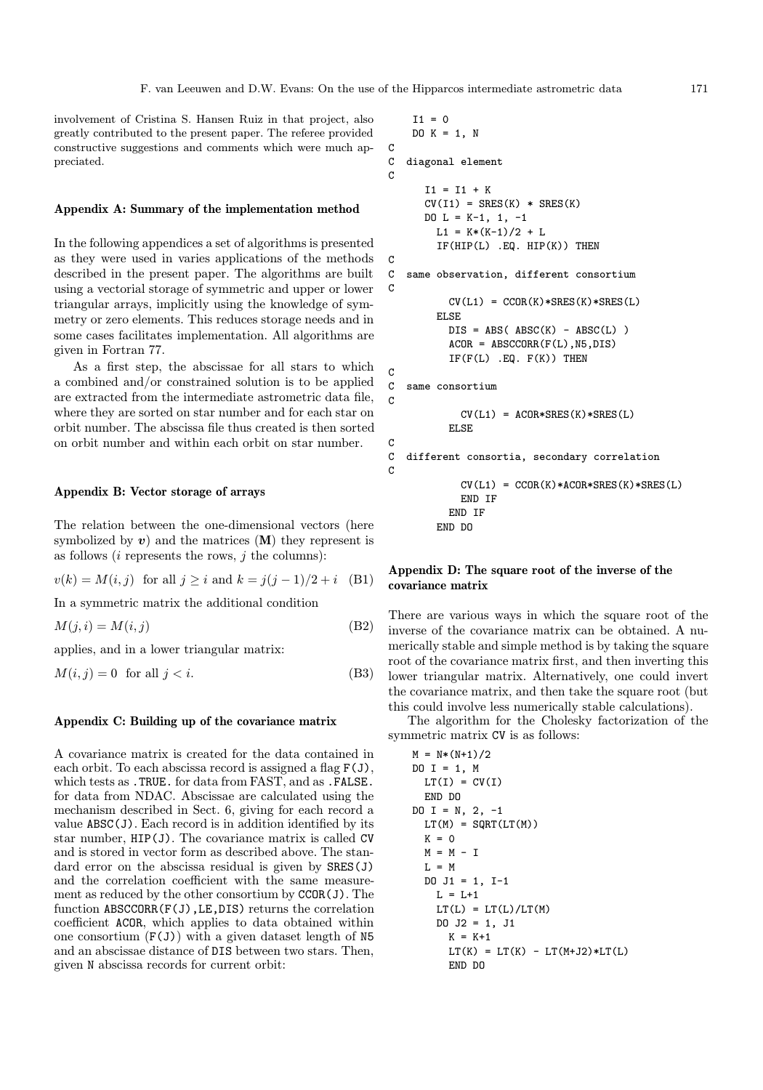involvement of Cristina S. Hansen Ruiz in that project, also greatly contributed to the present paper. The referee provided constructive suggestions and comments which were much appreciated.

#### Appendix A: Summary of the implementation method

In the following appendices a set of algorithms is presented as they were used in varies applications of the methods described in the present paper. The algorithms are built using a vectorial storage of symmetric and upper or lower triangular arrays, implicitly using the knowledge of symmetry or zero elements. This reduces storage needs and in some cases facilitates implementation. All algorithms are given in Fortran 77.

As a first step, the abscissae for all stars to which a combined and/or constrained solution is to be applied are extracted from the intermediate astrometric data file, where they are sorted on star number and for each star on orbit number. The abscissa file thus created is then sorted on orbit number and within each orbit on star number.

## Appendix B: Vector storage of arrays

The relation between the one-dimensional vectors (here symbolized by  $v$ ) and the matrices  $(M)$  they represent is as follows  $(i$  represents the rows,  $j$  the columns):

$$
v(k) = M(i, j)
$$
 for all  $j \ge i$  and  $k = j(j - 1)/2 + i$  (B1)

In a symmetric matrix the additional condition

$$
M(j, i) = M(i, j) \tag{B2}
$$

applies, and in a lower triangular matrix:

$$
M(i,j) = 0 \quad \text{for all } j < i. \tag{B3}
$$

## Appendix C: Building up of the covariance matrix

A covariance matrix is created for the data contained in each orbit. To each abscissa record is assigned a flag  $F(J)$ , which tests as .TRUE. for data from FAST, and as .FALSE. for data from NDAC. Abscissae are calculated using the mechanism described in Sect. 6, giving for each record a value ABSC(J). Each record is in addition identified by its star number, HIP(J). The covariance matrix is called CV and is stored in vector form as described above. The standard error on the abscissa residual is given by SRES(J) and the correlation coefficient with the same measurement as reduced by the other consortium by CCOR(J). The function ABSCCORR(F(J),LE,DIS) returns the correlation coefficient ACOR, which applies to data obtained within one consortium  $(F(J))$  with a given dataset length of N5 and an abscissae distance of DIS between two stars. Then, given N abscissa records for current orbit:

```
I1 = 0DO K = 1, N
C
C diagonal element
C
      I1 = I1 + KCV(I1) = SRES(K) * SRES(K)DO L = K-1, 1, -1L1 = K*(K-1)/2 + LIF(HIP(L) .EQ. HIP(K)) THEN
C
C same observation, different consortium
C
          CV(L1) = CCOR(K)*SRES(K)*SRES(L)ELSE
          DIS = ABS(ABSC(K) - ABSC(L))ACOR = ABSCCORR(F(L), NS, DIS)IF(F(L) . EQ. F(K)) THEN
\mathcal{C}C same consortium
C
            CV(L1) = ACOR*SRES(K)*SRES(L)ELSE
C
C different consortia, secondary correlation
C
            CV(L1) = CCOR(K)*ACOR*SRES(K)*SRES(L)END IF
          END IF
        END DO
```
# Appendix D: The square root of the inverse of the covariance matrix

There are various ways in which the square root of the inverse of the covariance matrix can be obtained. A numerically stable and simple method is by taking the square root of the covariance matrix first, and then inverting this lower triangular matrix. Alternatively, one could invert the covariance matrix, and then take the square root (but this could involve less numerically stable calculations).

The algorithm for the Cholesky factorization of the symmetric matrix CV is as follows:

```
M = N*(N+1)/2DO I = 1, M
 LT(I) = CV(I)END DO
DO I = N, 2, -1
 LT(M) = SQRT(LT(M))K = 0M = M - IL = MDO J1 = 1, I-1L = L+1LT(L) = LT(L)/LT(M)DO J2 = 1, J1
     K = K+1LT(K) = LT(K) - LT(M+J2)*LT(L)END DO
```